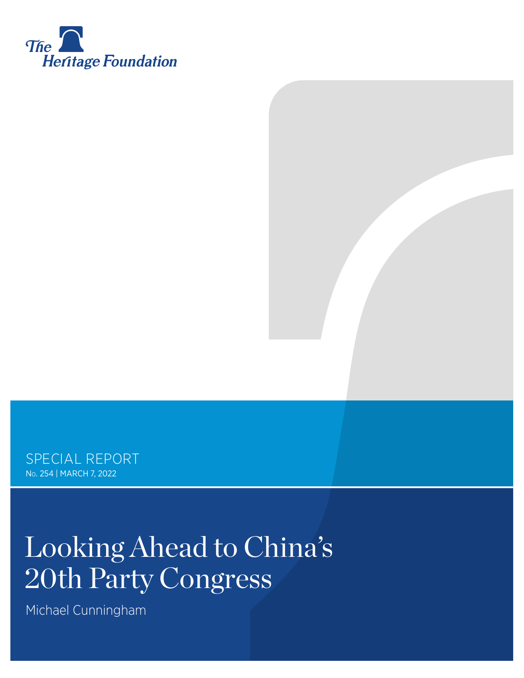

SPECIAL REPORT No. 254 | March 7, 2022

# Looking Ahead to China's 20th Party Congress

Michael Cunningham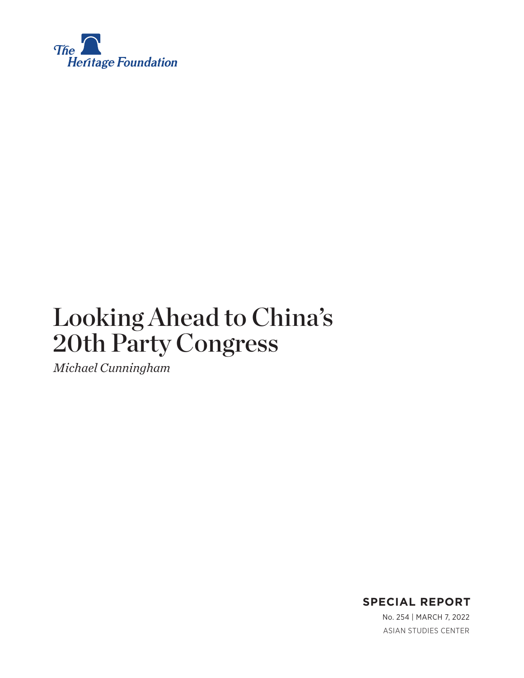

# Looking Ahead to China's 20th Party Congress

*Michael Cunningham*



ASIAN STUDIES CENTER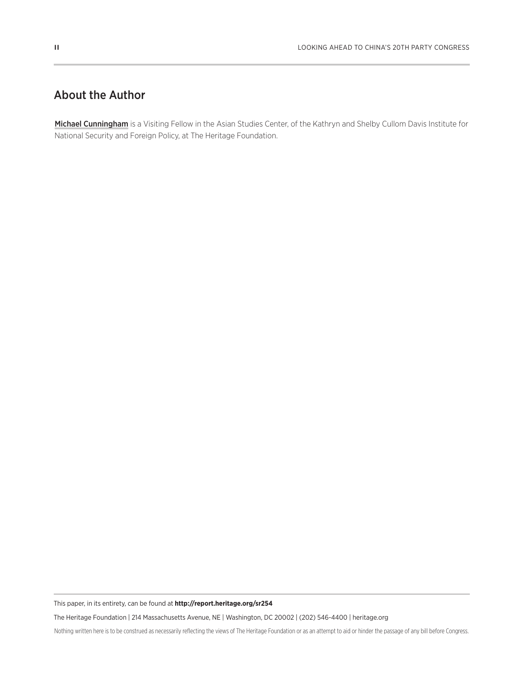## About the Author

Michael Cunningham is a Visiting Fellow in the Asian Studies Center, of the Kathryn and Shelby Cullom Davis Institute for National Security and Foreign Policy, at The Heritage Foundation.

This paper, in its entirety, can be found at **http://report.heritage.org/sr254**

The Heritage Foundation | 214 Massachusetts Avenue, NE | Washington, DC 20002 | (202) 546-4400 | heritage.org

Nothing written here is to be construed as necessarily reflecting the views of The Heritage Foundation or as an attempt to aid or hinder the passage of any bill before Congress.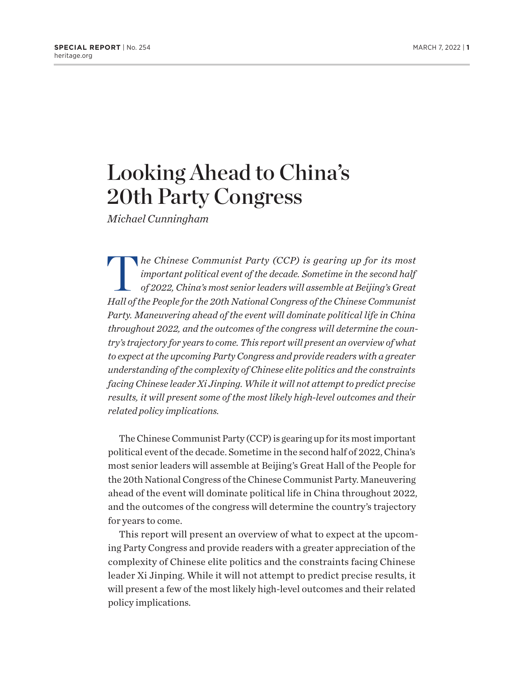# Looking Ahead to China's 20th Party Congress

*Michael Cunningham*

*The Chinese Communist Party (CCP) is gearing up for its most important political event of the decade. Sometime in the second half of 2022, China's most senior leaders will assemble at Beijing's Great important political event of the decade. Sometime in the second half of 2022, China's most senior leaders will assemble at Beijing's Great Hall of the People for the 20th National Congress of the Chinese Communist Party. Maneuvering ahead of the event will dominate political life in China throughout 2022, and the outcomes of the congress will determine the country's trajectory for years to come. This report will present an overview of what to expect at the upcoming Party Congress and provide readers with a greater understanding of the complexity of Chinese elite politics and the constraints facing Chinese leader Xi Jinping. While it will not attempt to predict precise results, it will present some of the most likely high-level outcomes and their related policy implications.*

The Chinese Communist Party (CCP) is gearing up for its most important political event of the decade. Sometime in the second half of 2022, China's most senior leaders will assemble at Beijing's Great Hall of the People for the 20th National Congress of the Chinese Communist Party. Maneuvering ahead of the event will dominate political life in China throughout 2022, and the outcomes of the congress will determine the country's trajectory for years to come.

This report will present an overview of what to expect at the upcoming Party Congress and provide readers with a greater appreciation of the complexity of Chinese elite politics and the constraints facing Chinese leader Xi Jinping. While it will not attempt to predict precise results, it will present a few of the most likely high-level outcomes and their related policy implications.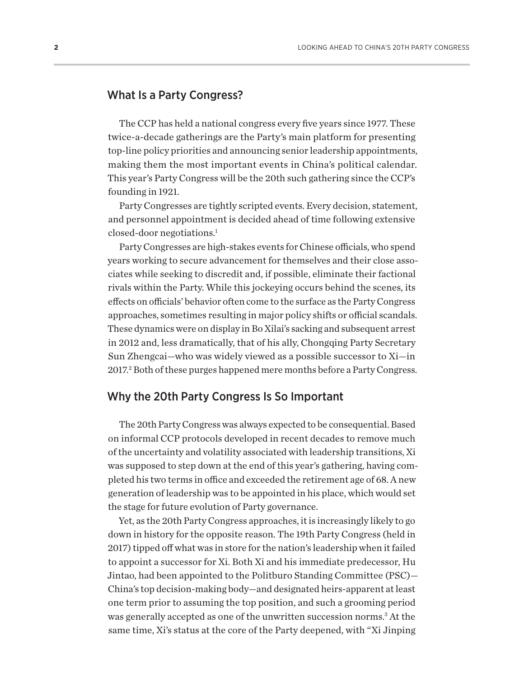#### <span id="page-4-0"></span>What Is a Party Congress?

The CCP has held a national congress every five years since 1977. These twice-a-decade gatherings are the Party's main platform for presenting top-line policy priorities and announcing senior leadership appointments, making them the most important events in China's political calendar. This year's Party Congress will be the 20th such gathering since the CCP's founding in 1921.

Party Congresses are tightly scripted events. Every decision, statement, and personnel appointment is decided ahead of time following extensive closed-door negotiations.[1](#page-28-0)

Party Congresses are high-stakes events for Chinese officials, who spend years working to secure advancement for themselves and their close associates while seeking to discredit and, if possible, eliminate their factional rivals within the Party. While this jockeying occurs behind the scenes, its effects on officials' behavior often come to the surface as the Party Congress approaches, sometimes resulting in major policy shifts or official scandals. These dynamics were on display in Bo Xilai's sacking and subsequent arrest in 2012 and, less dramatically, that of his ally, Chongqing Party Secretary Sun Zhengcai—who was widely viewed as a possible successor to Xi—in 2017.<sup>2</sup> Both of these purges happened mere months before a Party Congress.

#### Why the 20th Party Congress Is So Important

The 20th Party Congress was always expected to be consequential. Based on informal CCP protocols developed in recent decades to remove much of the uncertainty and volatility associated with leadership transitions, Xi was supposed to step down at the end of this year's gathering, having completed his two terms in office and exceeded the retirement age of 68. A new generation of leadership was to be appointed in his place, which would set the stage for future evolution of Party governance.

Yet, as the 20th Party Congress approaches, it is increasingly likely to go down in history for the opposite reason. The 19th Party Congress (held in 2017) tipped off what was in store for the nation's leadership when it failed to appoint a successor for Xi. Both Xi and his immediate predecessor, Hu Jintao, had been appointed to the Politburo Standing Committee (PSC)— China's top decision-making body—and designated heirs-apparent at least one term prior to assuming the top position, and such a grooming period was generally accepted as one of the unwritten succession norms.<sup>3</sup> At the same time, Xi's status at the core of the Party deepened, with "Xi Jinping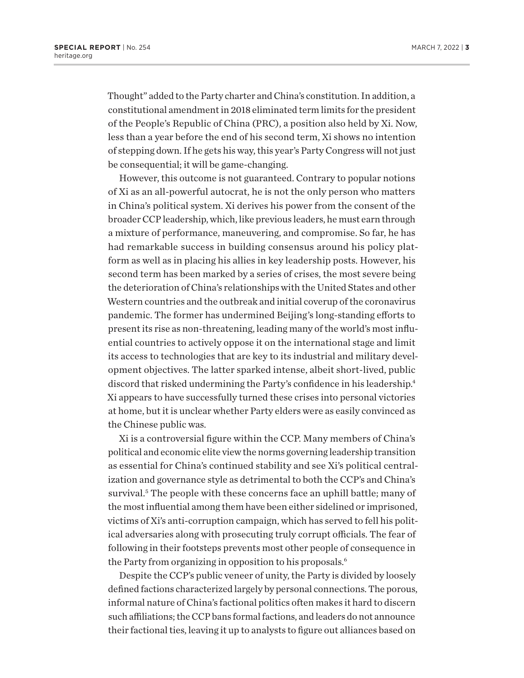<span id="page-5-0"></span>Thought" added to the Party charter and China's constitution. In addition, a constitutional amendment in 2018 eliminated term limits for the president of the People's Republic of China (PRC), a position also held by Xi. Now, less than a year before the end of his second term, Xi shows no intention of stepping down. If he gets his way, this year's Party Congress will not just be consequential; it will be game-changing.

However, this outcome is not guaranteed. Contrary to popular notions of Xi as an all-powerful autocrat, he is not the only person who matters in China's political system. Xi derives his power from the consent of the broader CCP leadership, which, like previous leaders, he must earn through a mixture of performance, maneuvering, and compromise. So far, he has had remarkable success in building consensus around his policy platform as well as in placing his allies in key leadership posts. However, his second term has been marked by a series of crises, the most severe being the deterioration of China's relationships with the United States and other Western countries and the outbreak and initial coverup of the coronavirus pandemic. The former has undermined Beijing's long-standing efforts to present its rise as non-threatening, leading many of the world's most influential countries to actively oppose it on the international stage and limit its access to technologies that are key to its industrial and military development objectives. The latter sparked intense, albeit short-lived, public discord that risked undermining the Party's confidence in his leadership[.4](#page-28-0) Xi appears to have successfully turned these crises into personal victories at home, but it is unclear whether Party elders were as easily convinced as the Chinese public was.

Xi is a controversial figure within the CCP. Many members of China's political and economic elite view the norms governing leadership transition as essential for China's continued stability and see Xi's political centralization and governance style as detrimental to both the CCP's and China's survival.<sup>[5](#page-28-0)</sup> The people with these concerns face an uphill battle; many of the most influential among them have been either sidelined or imprisoned, victims of Xi's anti-corruption campaign, which has served to fell his political adversaries along with prosecuting truly corrupt officials. The fear of following in their footsteps prevents most other people of consequence in the Party from organizing in opposition to his proposals.<sup>6</sup>

Despite the CCP's public veneer of unity, the Party is divided by loosely defined factions characterized largely by personal connections. The porous, informal nature of China's factional politics often makes it hard to discern such affiliations; the CCP bans formal factions, and leaders do not announce their factional ties, leaving it up to analysts to figure out alliances based on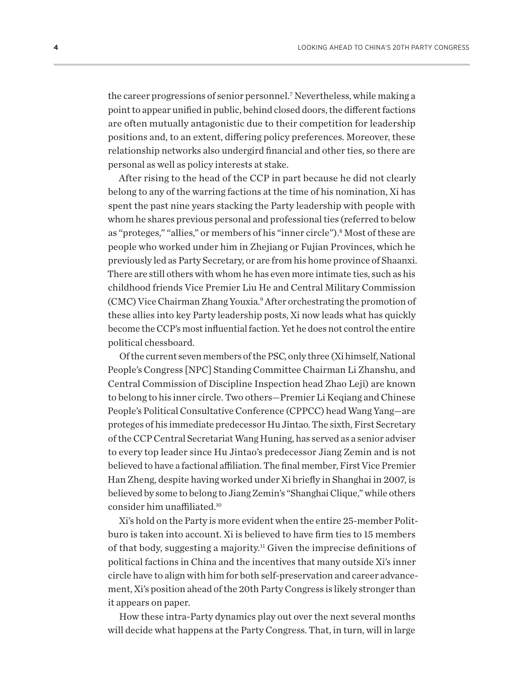<span id="page-6-0"></span>the career progressions of senior personnel.[7](#page-28-0) Nevertheless, while making a point to appear unified in public, behind closed doors, the different factions are often mutually antagonistic due to their competition for leadership positions and, to an extent, differing policy preferences. Moreover, these relationship networks also undergird financial and other ties, so there are personal as well as policy interests at stake.

After rising to the head of the CCP in part because he did not clearly belong to any of the warring factions at the time of his nomination, Xi has spent the past nine years stacking the Party leadership with people with whom he shares previous personal and professional ties (referred to below as "proteges," "allies," or members of his "inner circle").<sup>[8](#page-28-0)</sup> Most of these are people who worked under him in Zhejiang or Fujian Provinces, which he previously led as Party Secretary, or are from his home province of Shaanxi. There are still others with whom he has even more intimate ties, such as his childhood friends Vice Premier Liu He and Central Military Commission (CMC) Vice Chairman Zhang Youxia[.9](#page-28-0) After orchestrating the promotion of these allies into key Party leadership posts, Xi now leads what has quickly become the CCP's most influential faction. Yet he does not control the entire political chessboard.

Of the current seven members of the PSC, only three (Xi himself, National People's Congress [NPC] Standing Committee Chairman Li Zhanshu, and Central Commission of Discipline Inspection head Zhao Leji) are known to belong to his inner circle. Two others—Premier Li Keqiang and Chinese People's Political Consultative Conference (CPPCC) head Wang Yang—are proteges of his immediate predecessor Hu Jintao. The sixth, First Secretary of the CCP Central Secretariat Wang Huning, has served as a senior adviser to every top leader since Hu Jintao's predecessor Jiang Zemin and is not believed to have a factional affiliation. The final member, First Vice Premier Han Zheng, despite having worked under Xi briefly in Shanghai in 2007, is believed by some to belong to Jiang Zemin's "Shanghai Clique," while others consider him unaffiliated[.10](#page-28-0)

Xi's hold on the Party is more evident when the entire 25-member Politburo is taken into account. Xi is believed to have firm ties to 15 members of that body, suggesting a majority.<sup>11</sup> Given the imprecise definitions of political factions in China and the incentives that many outside Xi's inner circle have to align with him for both self-preservation and career advancement, Xi's position ahead of the 20th Party Congress is likely stronger than it appears on paper.

How these intra-Party dynamics play out over the next several months will decide what happens at the Party Congress. That, in turn, will in large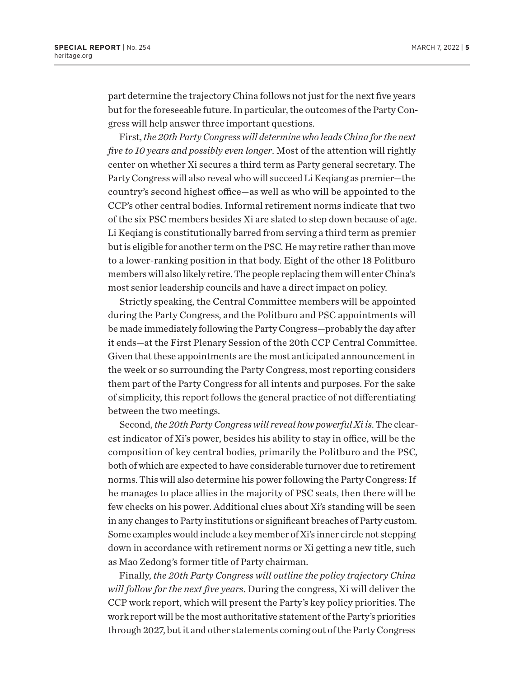part determine the trajectory China follows not just for the next five years but for the foreseeable future. In particular, the outcomes of the Party Congress will help answer three important questions.

First, *the 20th Party Congress will determine who leads China for the next five to 10 years and possibly even longer*. Most of the attention will rightly center on whether Xi secures a third term as Party general secretary. The Party Congress will also reveal who will succeed Li Keqiang as premier—the country's second highest office—as well as who will be appointed to the CCP's other central bodies. Informal retirement norms indicate that two of the six PSC members besides Xi are slated to step down because of age. Li Keqiang is constitutionally barred from serving a third term as premier but is eligible for another term on the PSC. He may retire rather than move to a lower-ranking position in that body. Eight of the other 18 Politburo members will also likely retire. The people replacing them will enter China's most senior leadership councils and have a direct impact on policy.

Strictly speaking, the Central Committee members will be appointed during the Party Congress, and the Politburo and PSC appointments will be made immediately following the Party Congress—probably the day after it ends—at the First Plenary Session of the 20th CCP Central Committee. Given that these appointments are the most anticipated announcement in the week or so surrounding the Party Congress, most reporting considers them part of the Party Congress for all intents and purposes. For the sake of simplicity, this report follows the general practice of not differentiating between the two meetings.

Second, *the 20th Party Congress will reveal how powerful Xi is*. The clearest indicator of Xi's power, besides his ability to stay in office, will be the composition of key central bodies, primarily the Politburo and the PSC, both of which are expected to have considerable turnover due to retirement norms. This will also determine his power following the Party Congress: If he manages to place allies in the majority of PSC seats, then there will be few checks on his power. Additional clues about Xi's standing will be seen in any changes to Party institutions or significant breaches of Party custom. Some examples would include a key member of Xi's inner circle not stepping down in accordance with retirement norms or Xi getting a new title, such as Mao Zedong's former title of Party chairman.

Finally, *the 20th Party Congress will outline the policy trajectory China will follow for the next five years*. During the congress, Xi will deliver the CCP work report, which will present the Party's key policy priorities. The work report will be the most authoritative statement of the Party's priorities through 2027, but it and other statements coming out of the Party Congress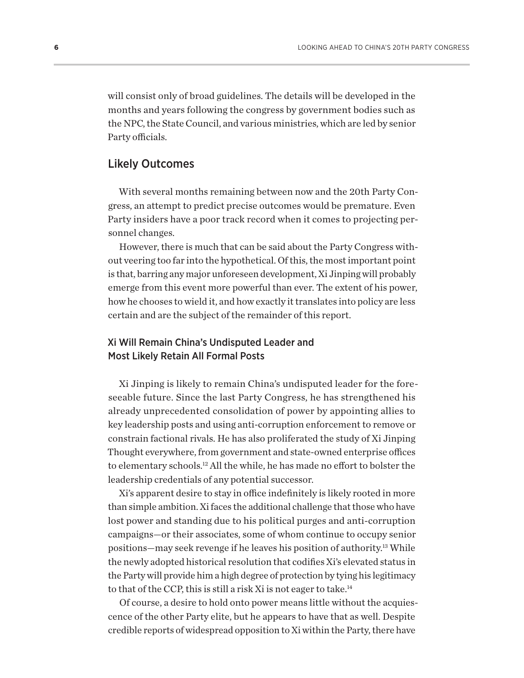<span id="page-8-0"></span>will consist only of broad guidelines. The details will be developed in the months and years following the congress by government bodies such as the NPC, the State Council, and various ministries, which are led by senior Party officials.

#### Likely Outcomes

With several months remaining between now and the 20th Party Congress, an attempt to predict precise outcomes would be premature. Even Party insiders have a poor track record when it comes to projecting personnel changes.

However, there is much that can be said about the Party Congress without veering too far into the hypothetical. Of this, the most important point is that, barring any major unforeseen development, Xi Jinping will probably emerge from this event more powerful than ever. The extent of his power, how he chooses to wield it, and how exactly it translates into policy are less certain and are the subject of the remainder of this report.

#### Xi Will Remain China's Undisputed Leader and Most Likely Retain All Formal Posts

Xi Jinping is likely to remain China's undisputed leader for the foreseeable future. Since the last Party Congress, he has strengthened his already unprecedented consolidation of power by appointing allies to key leadership posts and using anti-corruption enforcement to remove or constrain factional rivals. He has also proliferated the study of Xi Jinping Thought everywhere, from government and state-owned enterprise offices to elementary schools.[12](#page-28-0) All the while, he has made no effort to bolster the leadership credentials of any potential successor.

Xi's apparent desire to stay in office indefinitely is likely rooted in more than simple ambition. Xi faces the additional challenge that those who have lost power and standing due to his political purges and anti-corruption campaigns—or their associates, some of whom continue to occupy senior positions—may seek revenge if he leaves his position of authority[.13](#page-28-0) While the newly adopted historical resolution that codifies Xi's elevated status in the Party will provide him a high degree of protection by tying his legitimacy to that of the CCP, this is still a risk Xi is not eager to take.[14](#page-28-0)

Of course, a desire to hold onto power means little without the acquiescence of the other Party elite, but he appears to have that as well. Despite credible reports of widespread opposition to Xi within the Party, there have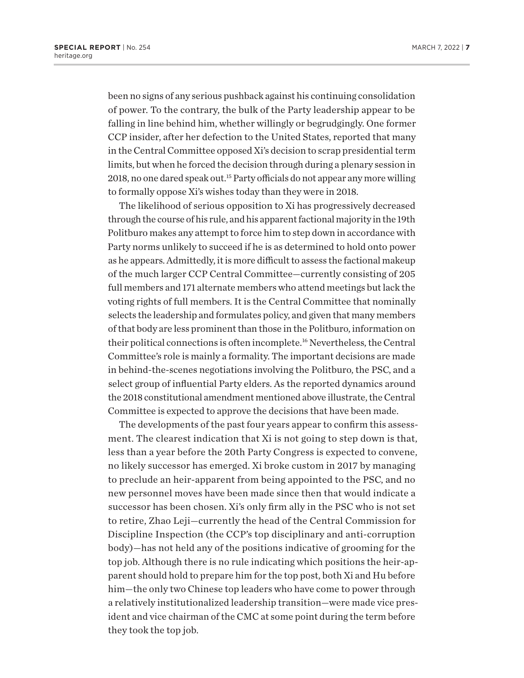<span id="page-9-0"></span>been no signs of any serious pushback against his continuing consolidation of power. To the contrary, the bulk of the Party leadership appear to be falling in line behind him, whether willingly or begrudgingly. One former CCP insider, after her defection to the United States, reported that many in the Central Committee opposed Xi's decision to scrap presidential term limits, but when he forced the decision through during a plenary session in 2018, no one dared speak out.[15](#page-28-0) Party officials do not appear any more willing to formally oppose Xi's wishes today than they were in 2018.

The likelihood of serious opposition to Xi has progressively decreased through the course of his rule, and his apparent factional majority in the 19th Politburo makes any attempt to force him to step down in accordance with Party norms unlikely to succeed if he is as determined to hold onto power as he appears. Admittedly, it is more difficult to assess the factional makeup of the much larger CCP Central Committee—currently consisting of 205 full members and 171 alternate members who attend meetings but lack the voting rights of full members. It is the Central Committee that nominally selects the leadership and formulates policy, and given that many members of that body are less prominent than those in the Politburo, information on their political connections is often incomplete[.16](#page-28-0) Nevertheless, the Central Committee's role is mainly a formality. The important decisions are made in behind-the-scenes negotiations involving the Politburo, the PSC, and a select group of influential Party elders. As the reported dynamics around the 2018 constitutional amendment mentioned above illustrate, the Central Committee is expected to approve the decisions that have been made.

The developments of the past four years appear to confirm this assessment. The clearest indication that Xi is not going to step down is that, less than a year before the 20th Party Congress is expected to convene, no likely successor has emerged. Xi broke custom in 2017 by managing to preclude an heir-apparent from being appointed to the PSC, and no new personnel moves have been made since then that would indicate a successor has been chosen. Xi's only firm ally in the PSC who is not set to retire, Zhao Leji—currently the head of the Central Commission for Discipline Inspection (the CCP's top disciplinary and anti-corruption body)—has not held any of the positions indicative of grooming for the top job. Although there is no rule indicating which positions the heir-apparent should hold to prepare him for the top post, both Xi and Hu before him—the only two Chinese top leaders who have come to power through a relatively institutionalized leadership transition—were made vice president and vice chairman of the CMC at some point during the term before they took the top job.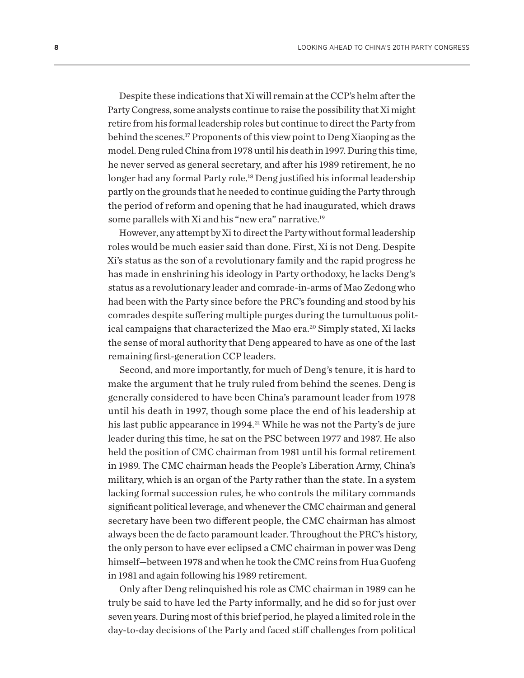<span id="page-10-0"></span>Despite these indications that Xi will remain at the CCP's helm after the Party Congress, some analysts continue to raise the possibility that Xi might retire from his formal leadership roles but continue to direct the Party from behind the scenes[.17](#page-28-0) Proponents of this view point to Deng Xiaoping as the model. Deng ruled China from 1978 until his death in 1997. During this time, he never served as general secretary, and after his 1989 retirement, he no longer had any formal Party role.<sup>18</sup> Deng justified his informal leadership partly on the grounds that he needed to continue guiding the Party through the period of reform and opening that he had inaugurated, which draws some parallels with Xi and his "new era" narrative.<sup>19</sup>

However, any attempt by Xi to direct the Party without formal leadership roles would be much easier said than done. First, Xi is not Deng. Despite Xi's status as the son of a revolutionary family and the rapid progress he has made in enshrining his ideology in Party orthodoxy, he lacks Deng's status as a revolutionary leader and comrade-in-arms of Mao Zedong who had been with the Party since before the PRC's founding and stood by his comrades despite suffering multiple purges during the tumultuous polit-ical campaigns that characterized the Mao era.<sup>[20](#page-29-0)</sup> Simply stated, Xi lacks the sense of moral authority that Deng appeared to have as one of the last remaining first-generation CCP leaders.

Second, and more importantly, for much of Deng's tenure, it is hard to make the argument that he truly ruled from behind the scenes. Deng is generally considered to have been China's paramount leader from 1978 until his death in 1997, though some place the end of his leadership at his last public appearance in 1994.<sup>[21](#page-29-0)</sup> While he was not the Party's de jure leader during this time, he sat on the PSC between 1977 and 1987. He also held the position of CMC chairman from 1981 until his formal retirement in 1989. The CMC chairman heads the People's Liberation Army, China's military, which is an organ of the Party rather than the state. In a system lacking formal succession rules, he who controls the military commands significant political leverage, and whenever the CMC chairman and general secretary have been two different people, the CMC chairman has almost always been the de facto paramount leader. Throughout the PRC's history, the only person to have ever eclipsed a CMC chairman in power was Deng himself—between 1978 and when he took the CMC reins from Hua Guofeng in 1981 and again following his 1989 retirement.

Only after Deng relinquished his role as CMC chairman in 1989 can he truly be said to have led the Party informally, and he did so for just over seven years. During most of this brief period, he played a limited role in the day-to-day decisions of the Party and faced stiff challenges from political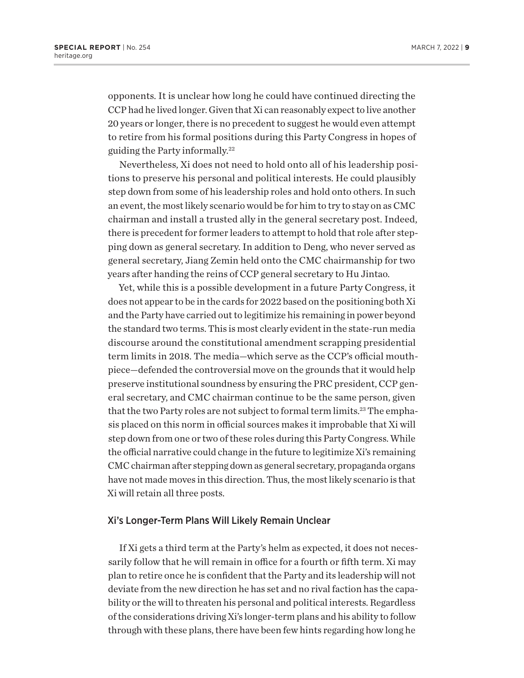<span id="page-11-0"></span>opponents. It is unclear how long he could have continued directing the CCP had he lived longer. Given that Xi can reasonably expect to live another 20 years or longer, there is no precedent to suggest he would even attempt to retire from his formal positions during this Party Congress in hopes of guiding the Party informally[.22](#page-29-0)

Nevertheless, Xi does not need to hold onto all of his leadership positions to preserve his personal and political interests. He could plausibly step down from some of his leadership roles and hold onto others. In such an event, the most likely scenario would be for him to try to stay on as CMC chairman and install a trusted ally in the general secretary post. Indeed, there is precedent for former leaders to attempt to hold that role after stepping down as general secretary. In addition to Deng, who never served as general secretary, Jiang Zemin held onto the CMC chairmanship for two years after handing the reins of CCP general secretary to Hu Jintao.

Yet, while this is a possible development in a future Party Congress, it does not appear to be in the cards for 2022 based on the positioning both Xi and the Party have carried out to legitimize his remaining in power beyond the standard two terms. This is most clearly evident in the state-run media discourse around the constitutional amendment scrapping presidential term limits in 2018. The media—which serve as the CCP's official mouthpiece—defended the controversial move on the grounds that it would help preserve institutional soundness by ensuring the PRC president, CCP general secretary, and CMC chairman continue to be the same person, given that the two Party roles are not subject to formal term limits.<sup>23</sup> The emphasis placed on this norm in official sources makes it improbable that Xi will step down from one or two of these roles during this Party Congress. While the official narrative could change in the future to legitimize Xi's remaining CMC chairman after stepping down as general secretary, propaganda organs have not made moves in this direction. Thus, the most likely scenario is that Xi will retain all three posts.

#### Xi's Longer-Term Plans Will Likely Remain Unclear

If Xi gets a third term at the Party's helm as expected, it does not necessarily follow that he will remain in office for a fourth or fifth term. Xi may plan to retire once he is confident that the Party and its leadership will not deviate from the new direction he has set and no rival faction has the capability or the will to threaten his personal and political interests. Regardless of the considerations driving Xi's longer-term plans and his ability to follow through with these plans, there have been few hints regarding how long he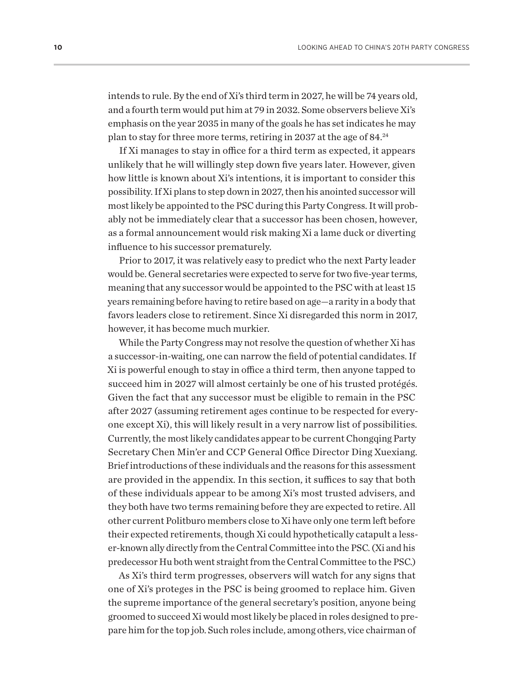<span id="page-12-0"></span>intends to rule. By the end of Xi's third term in 2027, he will be 74 years old, and a fourth term would put him at 79 in 2032. Some observers believe Xi's emphasis on the year 2035 in many of the goals he has set indicates he may plan to stay for three more terms, retiring in 2037 at the age of 84.<sup>[24](#page-29-0)</sup>

If Xi manages to stay in office for a third term as expected, it appears unlikely that he will willingly step down five years later. However, given how little is known about Xi's intentions, it is important to consider this possibility. If Xi plans to step down in 2027, then his anointed successor will most likely be appointed to the PSC during this Party Congress. It will probably not be immediately clear that a successor has been chosen, however, as a formal announcement would risk making Xi a lame duck or diverting influence to his successor prematurely.

Prior to 2017, it was relatively easy to predict who the next Party leader would be. General secretaries were expected to serve for two five-year terms, meaning that any successor would be appointed to the PSC with at least 15 years remaining before having to retire based on age—a rarity in a body that favors leaders close to retirement. Since Xi disregarded this norm in 2017, however, it has become much murkier.

While the Party Congress may not resolve the question of whether Xi has a successor-in-waiting, one can narrow the field of potential candidates. If Xi is powerful enough to stay in office a third term, then anyone tapped to succeed him in 2027 will almost certainly be one of his trusted protégés. Given the fact that any successor must be eligible to remain in the PSC after 2027 (assuming retirement ages continue to be respected for everyone except Xi), this will likely result in a very narrow list of possibilities. Currently, the most likely candidates appear to be current Chongqing Party Secretary Chen Min'er and CCP General Office Director Ding Xuexiang. Brief introductions of these individuals and the reasons for this assessment are provided in the appendix. In this section, it suffices to say that both of these individuals appear to be among Xi's most trusted advisers, and they both have two terms remaining before they are expected to retire. All other current Politburo members close to Xi have only one term left before their expected retirements, though Xi could hypothetically catapult a lesser-known ally directly from the Central Committee into the PSC. (Xi and his predecessor Hu both went straight from the Central Committee to the PSC.)

As Xi's third term progresses, observers will watch for any signs that one of Xi's proteges in the PSC is being groomed to replace him. Given the supreme importance of the general secretary's position, anyone being groomed to succeed Xi would most likely be placed in roles designed to prepare him for the top job. Such roles include, among others, vice chairman of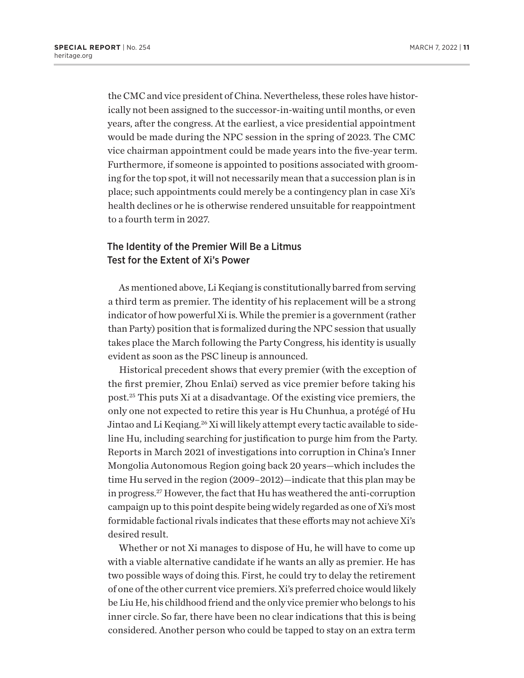<span id="page-13-0"></span>the CMC and vice president of China. Nevertheless, these roles have historically not been assigned to the successor-in-waiting until months, or even years, after the congress. At the earliest, a vice presidential appointment would be made during the NPC session in the spring of 2023. The CMC vice chairman appointment could be made years into the five-year term. Furthermore, if someone is appointed to positions associated with grooming for the top spot, it will not necessarily mean that a succession plan is in place; such appointments could merely be a contingency plan in case Xi's health declines or he is otherwise rendered unsuitable for reappointment to a fourth term in 2027.

#### The Identity of the Premier Will Be a Litmus Test for the Extent of Xi's Power

As mentioned above, Li Keqiang is constitutionally barred from serving a third term as premier. The identity of his replacement will be a strong indicator of how powerful Xi is. While the premier is a government (rather than Party) position that is formalized during the NPC session that usually takes place the March following the Party Congress, his identity is usually evident as soon as the PSC lineup is announced.

Historical precedent shows that every premier (with the exception of the first premier, Zhou Enlai) served as vice premier before taking his post.[25](#page-29-0) This puts Xi at a disadvantage. Of the existing vice premiers, the only one not expected to retire this year is Hu Chunhua, a protégé of Hu Jintao and Li Keqiang.<sup>26</sup> Xi will likely attempt every tactic available to sideline Hu, including searching for justification to purge him from the Party. Reports in March 2021 of investigations into corruption in China's Inner Mongolia Autonomous Region going back 20 years—which includes the time Hu served in the region (2009–2012)—indicate that this plan may be in progress.[27](#page-29-0) However, the fact that Hu has weathered the anti-corruption campaign up to this point despite being widely regarded as one of Xi's most formidable factional rivals indicates that these efforts may not achieve Xi's desired result.

Whether or not Xi manages to dispose of Hu, he will have to come up with a viable alternative candidate if he wants an ally as premier. He has two possible ways of doing this. First, he could try to delay the retirement of one of the other current vice premiers. Xi's preferred choice would likely be Liu He, his childhood friend and the only vice premier who belongs to his inner circle. So far, there have been no clear indications that this is being considered. Another person who could be tapped to stay on an extra term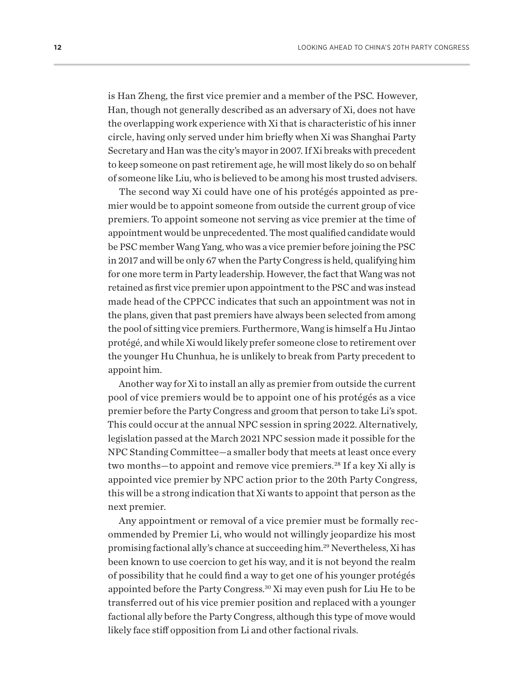<span id="page-14-0"></span>is Han Zheng, the first vice premier and a member of the PSC. However, Han, though not generally described as an adversary of Xi, does not have the overlapping work experience with Xi that is characteristic of his inner circle, having only served under him briefly when Xi was Shanghai Party Secretary and Han was the city's mayor in 2007. If Xi breaks with precedent to keep someone on past retirement age, he will most likely do so on behalf of someone like Liu, who is believed to be among his most trusted advisers.

The second way Xi could have one of his protégés appointed as premier would be to appoint someone from outside the current group of vice premiers. To appoint someone not serving as vice premier at the time of appointment would be unprecedented. The most qualified candidate would be PSC member Wang Yang, who was a vice premier before joining the PSC in 2017 and will be only 67 when the Party Congress is held, qualifying him for one more term in Party leadership. However, the fact that Wang was not retained as first vice premier upon appointment to the PSC and was instead made head of the CPPCC indicates that such an appointment was not in the plans, given that past premiers have always been selected from among the pool of sitting vice premiers. Furthermore, Wang is himself a Hu Jintao protégé, and while Xi would likely prefer someone close to retirement over the younger Hu Chunhua, he is unlikely to break from Party precedent to appoint him.

Another way for Xi to install an ally as premier from outside the current pool of vice premiers would be to appoint one of his protégés as a vice premier before the Party Congress and groom that person to take Li's spot. This could occur at the annual NPC session in spring 2022. Alternatively, legislation passed at the March 2021 NPC session made it possible for the NPC Standing Committee—a smaller body that meets at least once every two months-to appoint and remove vice premiers.<sup>[28](#page-29-0)</sup> If a key Xi ally is appointed vice premier by NPC action prior to the 20th Party Congress, this will be a strong indication that Xi wants to appoint that person as the next premier.

Any appointment or removal of a vice premier must be formally recommended by Premier Li, who would not willingly jeopardize his most promising factional ally's chance at succeeding him.[29](#page-29-0) Nevertheless, Xi has been known to use coercion to get his way, and it is not beyond the realm of possibility that he could find a way to get one of his younger protégés appointed before the Party Congress[.30](#page-29-0) Xi may even push for Liu He to be transferred out of his vice premier position and replaced with a younger factional ally before the Party Congress, although this type of move would likely face stiff opposition from Li and other factional rivals.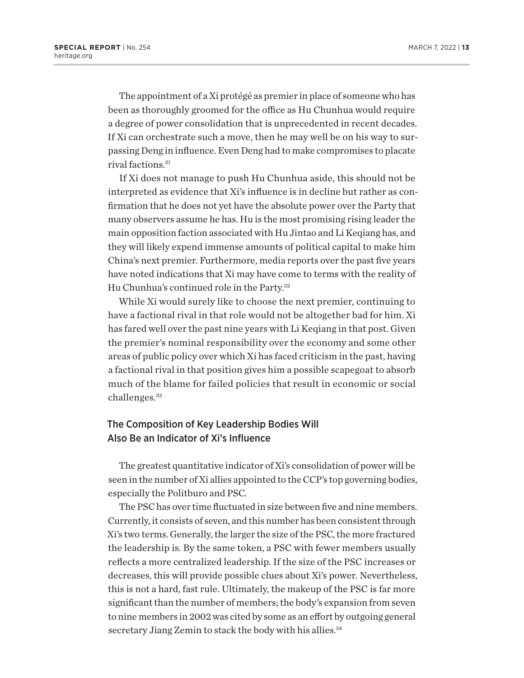<span id="page-15-0"></span>The appointment of a Xi protégé as premier in place of someone who has been as thoroughly groomed for the office as Hu Chunhua would require a degree of power consolidation that is unprecedented in recent decades. If Xi can orchestrate such a move, then he may well be on his way to surpassing Deng in influence. Even Deng had to make compromises to placate rival factions.<sup>[31](#page-29-0)</sup>

If Xi does not manage to push Hu Chunhua aside, this should not be interpreted as evidence that Xi's influence is in decline but rather as confirmation that he does not yet have the absolute power over the Party that many observers assume he has. Hu is the most promising rising leader the main opposition faction associated with Hu Jintao and Li Keqiang has, and they will likely expend immense amounts of political capital to make him China's next premier. Furthermore, media reports over the past five years have noted indications that Xi may have come to terms with the reality of Hu Chunhua's continued role in the Party.<sup>[32](#page-29-0)</sup>

While Xi would surely like to choose the next premier, continuing to have a factional rival in that role would not be altogether bad for him. Xi has fared well over the past nine years with Li Keqiang in that post. Given the premier's nominal responsibility over the economy and some other areas of public policy over which Xi has faced criticism in the past, having a factional rival in that position gives him a possible scapegoat to absorb much of the blame for failed policies that result in economic or social challenges.<sup>33</sup>

#### The Composition of Key Leadership Bodies Will Also Be an Indicator of Xi's Influence

The greatest quantitative indicator of Xi's consolidation of power will be seen in the number of Xi allies appointed to the CCP's top governing bodies, especially the Politburo and PSC.

The PSC has over time fluctuated in size between five and nine members. Currently, it consists of seven, and this number has been consistent through Xi's two terms. Generally, the larger the size of the PSC, the more fractured the leadership is. By the same token, a PSC with fewer members usually reflects a more centralized leadership. If the size of the PSC increases or decreases, this will provide possible clues about Xi's power. Nevertheless, this is not a hard, fast rule. Ultimately, the makeup of the PSC is far more significant than the number of members; the body's expansion from seven to nine members in 2002 was cited by some as an effort by outgoing general secretary Jiang Zemin to stack the body with his allies.<sup>[34](#page-29-0)</sup>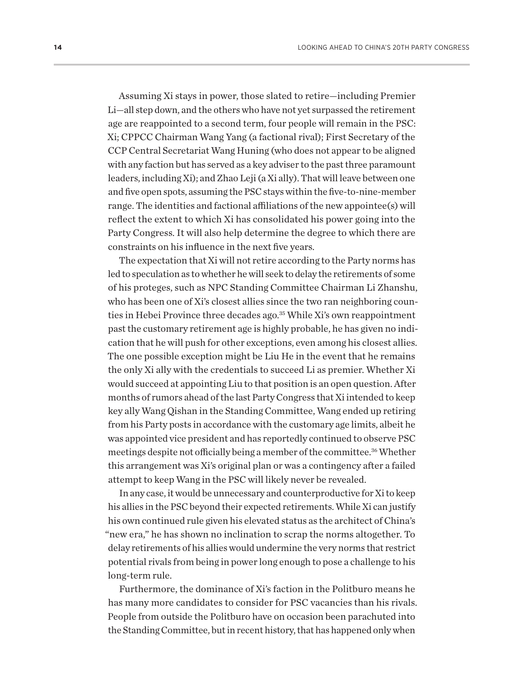<span id="page-16-0"></span>Assuming Xi stays in power, those slated to retire—including Premier Li—all step down, and the others who have not yet surpassed the retirement age are reappointed to a second term, four people will remain in the PSC: Xi; CPPCC Chairman Wang Yang (a factional rival); First Secretary of the CCP Central Secretariat Wang Huning (who does not appear to be aligned with any faction but has served as a key adviser to the past three paramount leaders, including Xi); and Zhao Leji (a Xi ally). That will leave between one and five open spots, assuming the PSC stays within the five-to-nine-member range. The identities and factional affiliations of the new appointee(s) will reflect the extent to which Xi has consolidated his power going into the Party Congress. It will also help determine the degree to which there are constraints on his influence in the next five years.

The expectation that Xi will not retire according to the Party norms has led to speculation as to whether he will seek to delay the retirements of some of his proteges, such as NPC Standing Committee Chairman Li Zhanshu, who has been one of Xi's closest allies since the two ran neighboring counties in Hebei Province three decades ago.<sup>35</sup> While Xi's own reappointment past the customary retirement age is highly probable, he has given no indication that he will push for other exceptions, even among his closest allies. The one possible exception might be Liu He in the event that he remains the only Xi ally with the credentials to succeed Li as premier. Whether Xi would succeed at appointing Liu to that position is an open question. After months of rumors ahead of the last Party Congress that Xi intended to keep key ally Wang Qishan in the Standing Committee, Wang ended up retiring from his Party posts in accordance with the customary age limits, albeit he was appointed vice president and has reportedly continued to observe PSC meetings despite not officially being a member of the committee.[36](#page-29-0) Whether this arrangement was Xi's original plan or was a contingency after a failed attempt to keep Wang in the PSC will likely never be revealed.

In any case, it would be unnecessary and counterproductive for Xi to keep his allies in the PSC beyond their expected retirements. While Xi can justify his own continued rule given his elevated status as the architect of China's "new era," he has shown no inclination to scrap the norms altogether. To delay retirements of his allies would undermine the very norms that restrict potential rivals from being in power long enough to pose a challenge to his long-term rule.

Furthermore, the dominance of Xi's faction in the Politburo means he has many more candidates to consider for PSC vacancies than his rivals. People from outside the Politburo have on occasion been parachuted into the Standing Committee, but in recent history, that has happened only when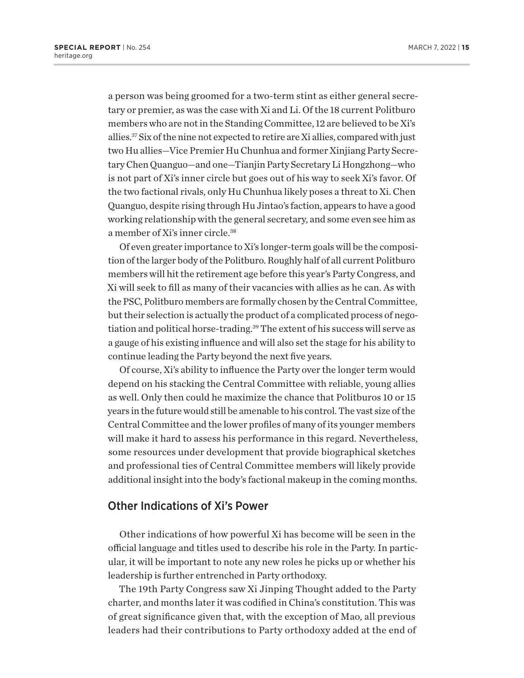<span id="page-17-0"></span>a person was being groomed for a two-term stint as either general secretary or premier, as was the case with Xi and Li. Of the 18 current Politburo members who are not in the Standing Committee, 12 are believed to be Xi's allies.[37](#page-29-0) Six of the nine not expected to retire are Xi allies, compared with just two Hu allies—Vice Premier Hu Chunhua and former Xinjiang Party Secretary Chen Quanguo—and one—Tianjin Party Secretary Li Hongzhong—who is not part of Xi's inner circle but goes out of his way to seek Xi's favor. Of the two factional rivals, only Hu Chunhua likely poses a threat to Xi. Chen Quanguo, despite rising through Hu Jintao's faction, appears to have a good working relationship with the general secretary, and some even see him as a member of Xi's inner circle.[38](#page-29-0)

Of even greater importance to Xi's longer-term goals will be the composition of the larger body of the Politburo. Roughly half of all current Politburo members will hit the retirement age before this year's Party Congress, and Xi will seek to fill as many of their vacancies with allies as he can. As with the PSC, Politburo members are formally chosen by the Central Committee, but their selection is actually the product of a complicated process of negotiation and political horse-trading.<sup>39</sup> The extent of his success will serve as a gauge of his existing influence and will also set the stage for his ability to continue leading the Party beyond the next five years.

Of course, Xi's ability to influence the Party over the longer term would depend on his stacking the Central Committee with reliable, young allies as well. Only then could he maximize the chance that Politburos 10 or 15 years in the future would still be amenable to his control. The vast size of the Central Committee and the lower profiles of many of its younger members will make it hard to assess his performance in this regard. Nevertheless, some resources under development that provide biographical sketches and professional ties of Central Committee members will likely provide additional insight into the body's factional makeup in the coming months.

#### Other Indications of Xi's Power

Other indications of how powerful Xi has become will be seen in the official language and titles used to describe his role in the Party. In particular, it will be important to note any new roles he picks up or whether his leadership is further entrenched in Party orthodoxy.

The 19th Party Congress saw Xi Jinping Thought added to the Party charter, and months later it was codified in China's constitution. This was of great significance given that, with the exception of Mao, all previous leaders had their contributions to Party orthodoxy added at the end of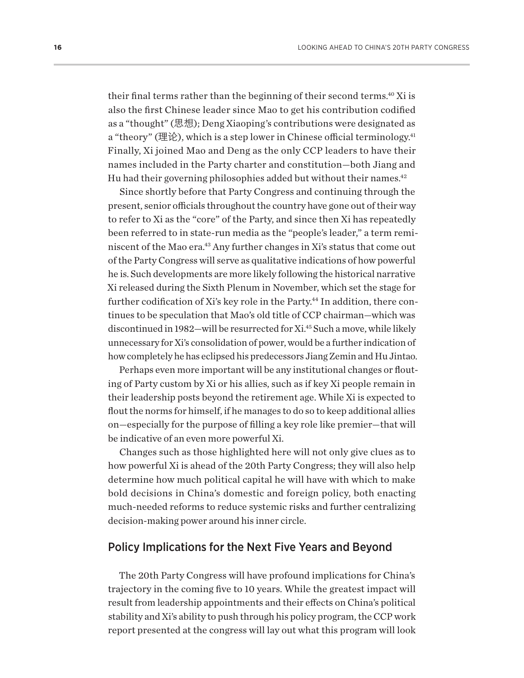<span id="page-18-0"></span>their final terms rather than the beginning of their second terms.<sup>40</sup> Xi is also the first Chinese leader since Mao to get his contribution codified as a "thought" (思想); Deng Xiaoping's contributions were designated as a "theory" (理论), which is a step lower in Chinese official terminology.<sup>41</sup> Finally, Xi joined Mao and Deng as the only CCP leaders to have their names included in the Party charter and constitution—both Jiang and Hu had their governing philosophies added but without their names.<sup>42</sup>

Since shortly before that Party Congress and continuing through the present, senior officials throughout the country have gone out of their way to refer to Xi as the "core" of the Party, and since then Xi has repeatedly been referred to in state-run media as the "people's leader," a term reminiscent of the Mao era.<sup>43</sup> Any further changes in Xi's status that come out of the Party Congress will serve as qualitative indications of how powerful he is. Such developments are more likely following the historical narrative Xi released during the Sixth Plenum in November, which set the stage for further codification of Xi's key role in the Party.<sup>[44](#page-29-0)</sup> In addition, there continues to be speculation that Mao's old title of CCP chairman—which was discontinued in 1982—will be resurrected for Xi[.45](#page-30-0) Such a move, while likely unnecessary for Xi's consolidation of power, would be a further indication of how completely he has eclipsed his predecessors Jiang Zemin and Hu Jintao.

Perhaps even more important will be any institutional changes or flouting of Party custom by Xi or his allies, such as if key Xi people remain in their leadership posts beyond the retirement age. While Xi is expected to flout the norms for himself, if he manages to do so to keep additional allies on—especially for the purpose of filling a key role like premier—that will be indicative of an even more powerful Xi.

Changes such as those highlighted here will not only give clues as to how powerful Xi is ahead of the 20th Party Congress; they will also help determine how much political capital he will have with which to make bold decisions in China's domestic and foreign policy, both enacting much-needed reforms to reduce systemic risks and further centralizing decision-making power around his inner circle.

#### Policy Implications for the Next Five Years and Beyond

The 20th Party Congress will have profound implications for China's trajectory in the coming five to 10 years. While the greatest impact will result from leadership appointments and their effects on China's political stability and Xi's ability to push through his policy program, the CCP work report presented at the congress will lay out what this program will look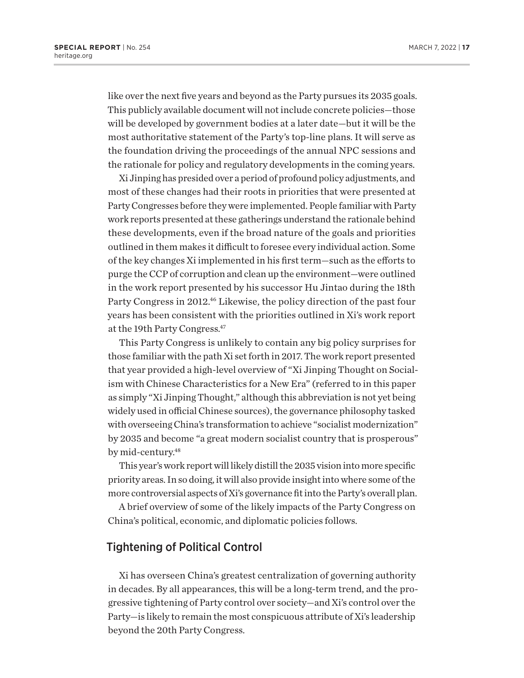<span id="page-19-0"></span>like over the next five years and beyond as the Party pursues its 2035 goals. This publicly available document will not include concrete policies—those will be developed by government bodies at a later date—but it will be the most authoritative statement of the Party's top-line plans. It will serve as the foundation driving the proceedings of the annual NPC sessions and the rationale for policy and regulatory developments in the coming years.

Xi Jinping has presided over a period of profound policy adjustments, and most of these changes had their roots in priorities that were presented at Party Congresses before they were implemented. People familiar with Party work reports presented at these gatherings understand the rationale behind these developments, even if the broad nature of the goals and priorities outlined in them makes it difficult to foresee every individual action. Some of the key changes Xi implemented in his first term—such as the efforts to purge the CCP of corruption and clean up the environment—were outlined in the work report presented by his successor Hu Jintao during the 18th Party Congress in 2012.<sup>46</sup> Likewise, the policy direction of the past four years has been consistent with the priorities outlined in Xi's work report at the 19th Party Congress[.47](#page-30-0)

This Party Congress is unlikely to contain any big policy surprises for those familiar with the path Xi set forth in 2017. The work report presented that year provided a high-level overview of "Xi Jinping Thought on Socialism with Chinese Characteristics for a New Era" (referred to in this paper as simply "Xi Jinping Thought," although this abbreviation is not yet being widely used in official Chinese sources), the governance philosophy tasked with overseeing China's transformation to achieve "socialist modernization" by 2035 and become "a great modern socialist country that is prosperous" by mid-century.<sup>48</sup>

This year's work report will likely distill the 2035 vision into more specific priority areas. In so doing, it will also provide insight into where some of the more controversial aspects of Xi's governance fit into the Party's overall plan.

A brief overview of some of the likely impacts of the Party Congress on China's political, economic, and diplomatic policies follows.

#### Tightening of Political Control

Xi has overseen China's greatest centralization of governing authority in decades. By all appearances, this will be a long-term trend, and the progressive tightening of Party control over society—and Xi's control over the Party—is likely to remain the most conspicuous attribute of Xi's leadership beyond the 20th Party Congress.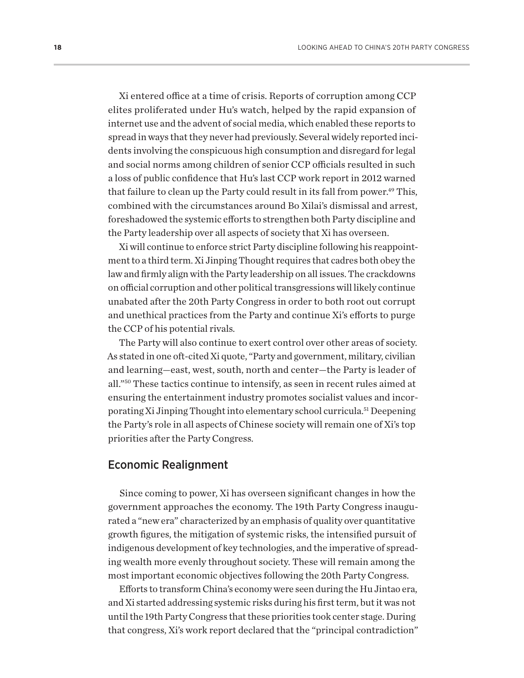<span id="page-20-0"></span>Xi entered office at a time of crisis. Reports of corruption among CCP elites proliferated under Hu's watch, helped by the rapid expansion of internet use and the advent of social media, which enabled these reports to spread in ways that they never had previously. Several widely reported incidents involving the conspicuous high consumption and disregard for legal and social norms among children of senior CCP officials resulted in such a loss of public confidence that Hu's last CCP work report in 2012 warned that failure to clean up the Party could result in its fall from power.<sup>49</sup> This, combined with the circumstances around Bo Xilai's dismissal and arrest, foreshadowed the systemic efforts to strengthen both Party discipline and the Party leadership over all aspects of society that Xi has overseen.

Xi will continue to enforce strict Party discipline following his reappointment to a third term. Xi Jinping Thought requires that cadres both obey the law and firmly align with the Party leadership on all issues. The crackdowns on official corruption and other political transgressions will likely continue unabated after the 20th Party Congress in order to both root out corrupt and unethical practices from the Party and continue Xi's efforts to purge the CCP of his potential rivals.

The Party will also continue to exert control over other areas of society. As stated in one oft-cited Xi quote, "Party and government, military, civilian and learning—east, west, south, north and center—the Party is leader of all."[50](#page-30-0) These tactics continue to intensify, as seen in recent rules aimed at ensuring the entertainment industry promotes socialist values and incorporating Xi Jinping Thought into elementary school curricula[.51](#page-30-0) Deepening the Party's role in all aspects of Chinese society will remain one of Xi's top priorities after the Party Congress.

#### Economic Realignment

Since coming to power, Xi has overseen significant changes in how the government approaches the economy. The 19th Party Congress inaugurated a "new era" characterized by an emphasis of quality over quantitative growth figures, the mitigation of systemic risks, the intensified pursuit of indigenous development of key technologies, and the imperative of spreading wealth more evenly throughout society. These will remain among the most important economic objectives following the 20th Party Congress.

Efforts to transform China's economy were seen during the Hu Jintao era, and Xi started addressing systemic risks during his first term, but it was not until the 19th Party Congress that these priorities took center stage. During that congress, Xi's work report declared that the "principal contradiction"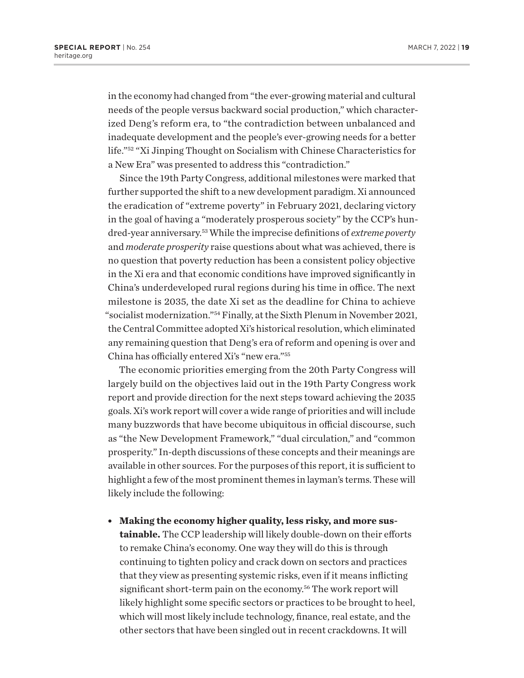<span id="page-21-0"></span>in the economy had changed from "the ever-growing material and cultural needs of the people versus backward social production," which characterized Deng's reform era, to "the contradiction between unbalanced and inadequate development and the people's ever-growing needs for a better life.["52](#page-30-0) "Xi Jinping Thought on Socialism with Chinese Characteristics for a New Era" was presented to address this "contradiction."

Since the 19th Party Congress, additional milestones were marked that further supported the shift to a new development paradigm. Xi announced the eradication of "extreme poverty" in February 2021, declaring victory in the goal of having a "moderately prosperous society" by the CCP's hundred-year anniversary.[53](#page-30-0) While the imprecise definitions of *extreme poverty* and *moderate prosperity* raise questions about what was achieved, there is no question that poverty reduction has been a consistent policy objective in the Xi era and that economic conditions have improved significantly in China's underdeveloped rural regions during his time in office. The next milestone is 2035, the date Xi set as the deadline for China to achieve "socialist modernization.["54](#page-30-0) Finally, at the Sixth Plenum in November 2021, the Central Committee adopted Xi's historical resolution, which eliminated any remaining question that Deng's era of reform and opening is over and China has officially entered Xi's "new era.["55](#page-30-0)

The economic priorities emerging from the 20th Party Congress will largely build on the objectives laid out in the 19th Party Congress work report and provide direction for the next steps toward achieving the 2035 goals. Xi's work report will cover a wide range of priorities and will include many buzzwords that have become ubiquitous in official discourse, such as "the New Development Framework," "dual circulation," and "common prosperity." In-depth discussions of these concepts and their meanings are available in other sources. For the purposes of this report, it is sufficient to highlight a few of the most prominent themes in layman's terms. These will likely include the following:

• Making the economy higher quality, less risky, and more sus**tainable.** The CCP leadership will likely double-down on their efforts to remake China's economy. One way they will do this is through continuing to tighten policy and crack down on sectors and practices that they view as presenting systemic risks, even if it means inflicting significant short-term pain on the economy[.56](#page-30-0) The work report will likely highlight some specific sectors or practices to be brought to heel, which will most likely include technology, finance, real estate, and the other sectors that have been singled out in recent crackdowns. It will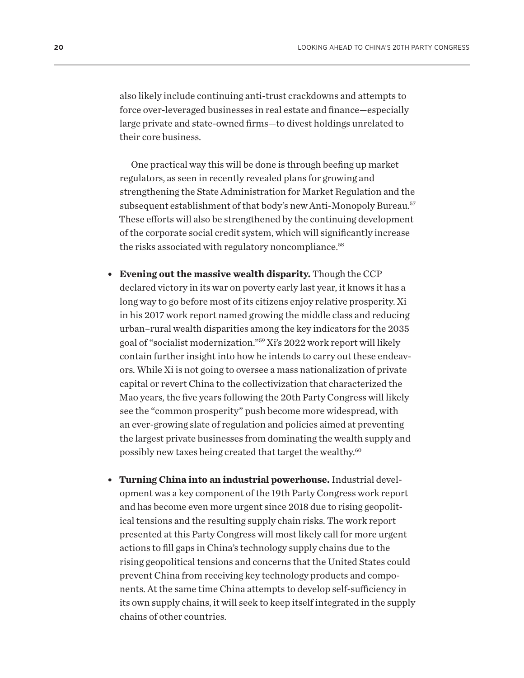<span id="page-22-0"></span>also likely include continuing anti-trust crackdowns and attempts to force over-leveraged businesses in real estate and finance—especially large private and state-owned firms—to divest holdings unrelated to their core business.

One practical way this will be done is through beefing up market regulators, as seen in recently revealed plans for growing and strengthening the State Administration for Market Regulation and the subsequent establishment of that body's new Anti-Monopoly Bureau.<sup>[57](#page-30-0)</sup> These efforts will also be strengthened by the continuing development of the corporate social credit system, which will significantly increase the risks associated with regulatory noncompliance.<sup>58</sup>

- **Evening out the massive wealth disparity.** Though the CCP declared victory in its war on poverty early last year, it knows it has a long way to go before most of its citizens enjoy relative prosperity. Xi in his 2017 work report named growing the middle class and reducing urban–rural wealth disparities among the key indicators for the 2035 goal of "socialist modernization."[59](#page-30-0) Xi's 2022 work report will likely contain further insight into how he intends to carry out these endeavors. While Xi is not going to oversee a mass nationalization of private capital or revert China to the collectivization that characterized the Mao years, the five years following the 20th Party Congress will likely see the "common prosperity" push become more widespread, with an ever-growing slate of regulation and policies aimed at preventing the largest private businesses from dominating the wealth supply and possibly new taxes being created that target the wealthy.<sup>[60](#page-30-0)</sup>
- <sup>l</sup> **Turning China into an industrial powerhouse.** Industrial development was a key component of the 19th Party Congress work report and has become even more urgent since 2018 due to rising geopolitical tensions and the resulting supply chain risks. The work report presented at this Party Congress will most likely call for more urgent actions to fill gaps in China's technology supply chains due to the rising geopolitical tensions and concerns that the United States could prevent China from receiving key technology products and components. At the same time China attempts to develop self-sufficiency in its own supply chains, it will seek to keep itself integrated in the supply chains of other countries.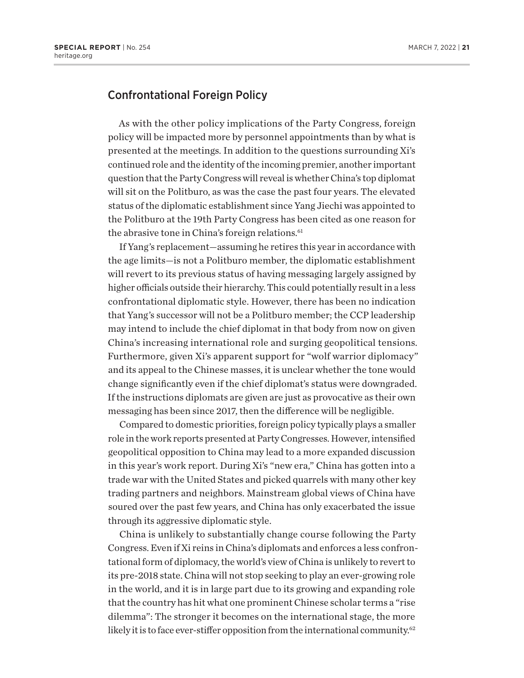#### <span id="page-23-0"></span>Confrontational Foreign Policy

As with the other policy implications of the Party Congress, foreign policy will be impacted more by personnel appointments than by what is presented at the meetings. In addition to the questions surrounding Xi's continued role and the identity of the incoming premier, another important question that the Party Congress will reveal is whether China's top diplomat will sit on the Politburo, as was the case the past four years. The elevated status of the diplomatic establishment since Yang Jiechi was appointed to the Politburo at the 19th Party Congress has been cited as one reason for the abrasive tone in China's foreign relations.<sup>[61](#page-30-0)</sup>

If Yang's replacement—assuming he retires this year in accordance with the age limits—is not a Politburo member, the diplomatic establishment will revert to its previous status of having messaging largely assigned by higher officials outside their hierarchy. This could potentially result in a less confrontational diplomatic style. However, there has been no indication that Yang's successor will not be a Politburo member; the CCP leadership may intend to include the chief diplomat in that body from now on given China's increasing international role and surging geopolitical tensions. Furthermore, given Xi's apparent support for "wolf warrior diplomacy" and its appeal to the Chinese masses, it is unclear whether the tone would change significantly even if the chief diplomat's status were downgraded. If the instructions diplomats are given are just as provocative as their own messaging has been since 2017, then the difference will be negligible.

Compared to domestic priorities, foreign policy typically plays a smaller role in the work reports presented at Party Congresses. However, intensified geopolitical opposition to China may lead to a more expanded discussion in this year's work report. During Xi's "new era," China has gotten into a trade war with the United States and picked quarrels with many other key trading partners and neighbors. Mainstream global views of China have soured over the past few years, and China has only exacerbated the issue through its aggressive diplomatic style.

China is unlikely to substantially change course following the Party Congress. Even if Xi reins in China's diplomats and enforces a less confrontational form of diplomacy, the world's view of China is unlikely to revert to its pre-2018 state. China will not stop seeking to play an ever-growing role in the world, and it is in large part due to its growing and expanding role that the country has hit what one prominent Chinese scholar terms a "rise dilemma": The stronger it becomes on the international stage, the more likely it is to face ever-stiffer opposition from the international community.<sup>62</sup>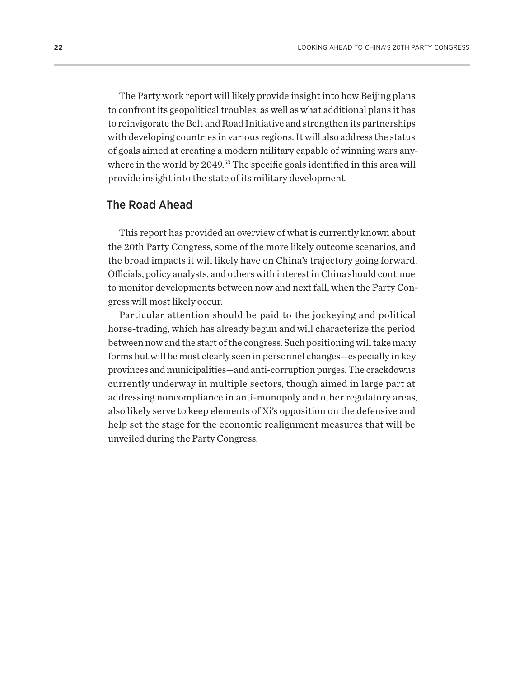<span id="page-24-0"></span>The Party work report will likely provide insight into how Beijing plans to confront its geopolitical troubles, as well as what additional plans it has to reinvigorate the Belt and Road Initiative and strengthen its partnerships with developing countries in various regions. It will also address the status of goals aimed at creating a modern military capable of winning wars anywhere in the world by 2049.<sup>63</sup> The specific goals identified in this area will provide insight into the state of its military development.

#### The Road Ahead

This report has provided an overview of what is currently known about the 20th Party Congress, some of the more likely outcome scenarios, and the broad impacts it will likely have on China's trajectory going forward. Officials, policy analysts, and others with interest in China should continue to monitor developments between now and next fall, when the Party Congress will most likely occur.

Particular attention should be paid to the jockeying and political horse-trading, which has already begun and will characterize the period between now and the start of the congress. Such positioning will take many forms but will be most clearly seen in personnel changes—especially in key provinces and municipalities—and anti-corruption purges. The crackdowns currently underway in multiple sectors, though aimed in large part at addressing noncompliance in anti-monopoly and other regulatory areas, also likely serve to keep elements of Xi's opposition on the defensive and help set the stage for the economic realignment measures that will be unveiled during the Party Congress.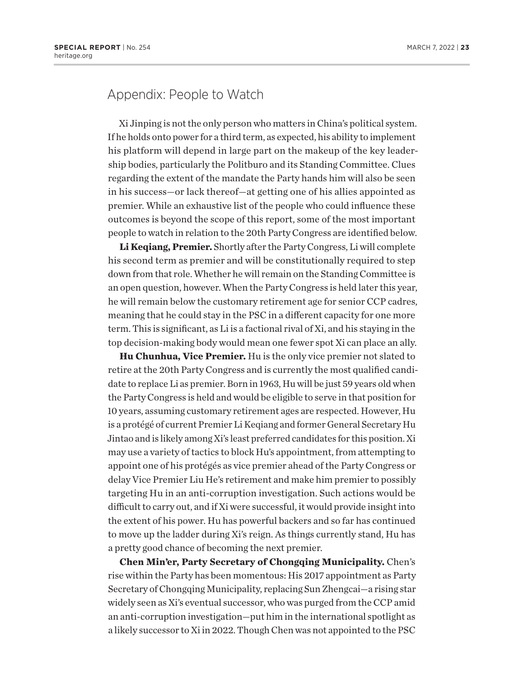### Appendix: People to Watch

Xi Jinping is not the only person who matters in China's political system. If he holds onto power for a third term, as expected, his ability to implement his platform will depend in large part on the makeup of the key leadership bodies, particularly the Politburo and its Standing Committee. Clues regarding the extent of the mandate the Party hands him will also be seen in his success—or lack thereof—at getting one of his allies appointed as premier. While an exhaustive list of the people who could influence these outcomes is beyond the scope of this report, some of the most important people to watch in relation to the 20th Party Congress are identified below.

**Li Keqiang, Premier.** Shortly after the Party Congress, Li will complete his second term as premier and will be constitutionally required to step down from that role. Whether he will remain on the Standing Committee is an open question, however. When the Party Congress is held later this year, he will remain below the customary retirement age for senior CCP cadres, meaning that he could stay in the PSC in a different capacity for one more term. This is significant, as Li is a factional rival of Xi, and his staying in the top decision-making body would mean one fewer spot Xi can place an ally.

**Hu Chunhua, Vice Premier.** Hu is the only vice premier not slated to retire at the 20th Party Congress and is currently the most qualified candidate to replace Li as premier. Born in 1963, Hu will be just 59 years old when the Party Congress is held and would be eligible to serve in that position for 10 years, assuming customary retirement ages are respected. However, Hu is a protégé of current Premier Li Keqiang and former General Secretary Hu Jintao and is likely among Xi's least preferred candidates for this position. Xi may use a variety of tactics to block Hu's appointment, from attempting to appoint one of his protégés as vice premier ahead of the Party Congress or delay Vice Premier Liu He's retirement and make him premier to possibly targeting Hu in an anti-corruption investigation. Such actions would be difficult to carry out, and if Xi were successful, it would provide insight into the extent of his power. Hu has powerful backers and so far has continued to move up the ladder during Xi's reign. As things currently stand, Hu has a pretty good chance of becoming the next premier.

**Chen Min'er, Party Secretary of Chongqing Municipality.** Chen's rise within the Party has been momentous: His 2017 appointment as Party Secretary of Chongqing Municipality, replacing Sun Zhengcai—a rising star widely seen as Xi's eventual successor, who was purged from the CCP amid an anti-corruption investigation—put him in the international spotlight as a likely successor to Xi in 2022. Though Chen was not appointed to the PSC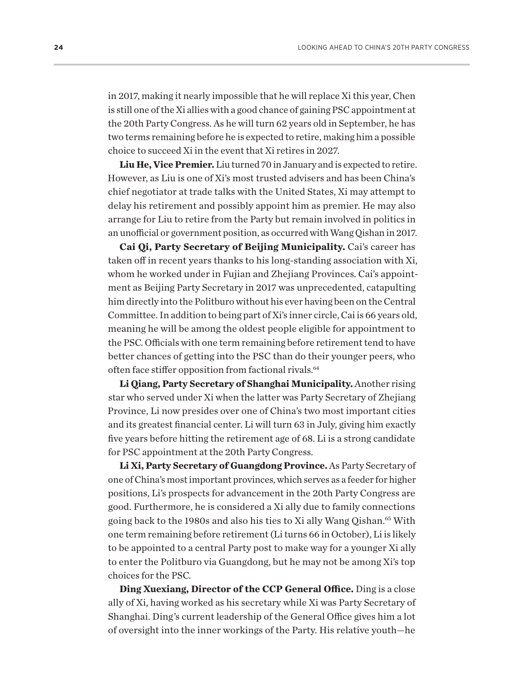<span id="page-26-0"></span>in 2017, making it nearly impossible that he will replace Xi this year, Chen is still one of the Xi allies with a good chance of gaining PSC appointment at the 20th Party Congress. As he will turn 62 years old in September, he has two terms remaining before he is expected to retire, making him a possible choice to succeed Xi in the event that Xi retires in 2027.

**Liu He, Vice Premier.** Liu turned 70 in January and is expected to retire. However, as Liu is one of Xi's most trusted advisers and has been China's chief negotiator at trade talks with the United States, Xi may attempt to delay his retirement and possibly appoint him as premier. He may also arrange for Liu to retire from the Party but remain involved in politics in an unofficial or government position, as occurred with Wang Qishan in 2017.

**Cai Qi, Party Secretary of Beijing Municipality.** Cai's career has taken off in recent years thanks to his long-standing association with Xi, whom he worked under in Fujian and Zhejiang Provinces. Cai's appointment as Beijing Party Secretary in 2017 was unprecedented, catapulting him directly into the Politburo without his ever having been on the Central Committee. In addition to being part of Xi's inner circle, Cai is 66 years old, meaning he will be among the oldest people eligible for appointment to the PSC. Officials with one term remaining before retirement tend to have better chances of getting into the PSC than do their younger peers, who often face stiffer opposition from factional rivals.<sup>[64](#page-30-0)</sup>

**Li Qiang, Party Secretary of Shanghai Municipality.** Another rising star who served under Xi when the latter was Party Secretary of Zhejiang Province, Li now presides over one of China's two most important cities and its greatest financial center. Li will turn 63 in July, giving him exactly five years before hitting the retirement age of 68. Li is a strong candidate for PSC appointment at the 20th Party Congress.

**Li Xi, Party Secretary of Guangdong Province.** As Party Secretary of one of China's most important provinces, which serves as a feeder for higher positions, Li's prospects for advancement in the 20th Party Congress are good. Furthermore, he is considered a Xi ally due to family connections going back to the 1980s and also his ties to Xi ally Wang Qishan.<sup>65</sup> With one term remaining before retirement (Li turns 66 in October), Li is likely to be appointed to a central Party post to make way for a younger Xi ally to enter the Politburo via Guangdong, but he may not be among Xi's top choices for the PSC.

**Ding Xuexiang, Director of the CCP General Office.** Ding is a close ally of Xi, having worked as his secretary while Xi was Party Secretary of Shanghai. Ding's current leadership of the General Office gives him a lot of oversight into the inner workings of the Party. His relative youth—he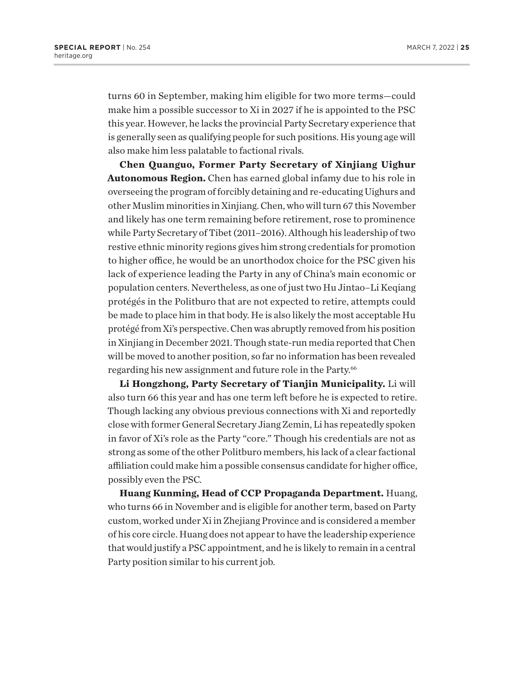<span id="page-27-0"></span>turns 60 in September, making him eligible for two more terms—could make him a possible successor to Xi in 2027 if he is appointed to the PSC this year. However, he lacks the provincial Party Secretary experience that is generally seen as qualifying people for such positions. His young age will also make him less palatable to factional rivals.

**Chen Quanguo, Former Party Secretary of Xinjiang Uighur Autonomous Region.** Chen has earned global infamy due to his role in overseeing the program of forcibly detaining and re-educating Uighurs and other Muslim minorities in Xinjiang. Chen, who will turn 67 this November and likely has one term remaining before retirement, rose to prominence while Party Secretary of Tibet (2011–2016). Although his leadership of two restive ethnic minority regions gives him strong credentials for promotion to higher office, he would be an unorthodox choice for the PSC given his lack of experience leading the Party in any of China's main economic or population centers. Nevertheless, as one of just two Hu Jintao–Li Keqiang protégés in the Politburo that are not expected to retire, attempts could be made to place him in that body. He is also likely the most acceptable Hu protégé from Xi's perspective. Chen was abruptly removed from his position in Xinjiang in December 2021. Though state-run media reported that Chen will be moved to another position, so far no information has been revealed regarding his new assignment and future role in the Party.<sup>[66](#page-30-0)</sup>

**Li Hongzhong, Party Secretary of Tianjin Municipality.** Li will also turn 66 this year and has one term left before he is expected to retire. Though lacking any obvious previous connections with Xi and reportedly close with former General Secretary Jiang Zemin, Li has repeatedly spoken in favor of Xi's role as the Party "core." Though his credentials are not as strong as some of the other Politburo members, his lack of a clear factional affiliation could make him a possible consensus candidate for higher office, possibly even the PSC.

**Huang Kunming, Head of CCP Propaganda Department.** Huang, who turns 66 in November and is eligible for another term, based on Party custom, worked under Xi in Zhejiang Province and is considered a member of his core circle. Huang does not appear to have the leadership experience that would justify a PSC appointment, and he is likely to remain in a central Party position similar to his current job.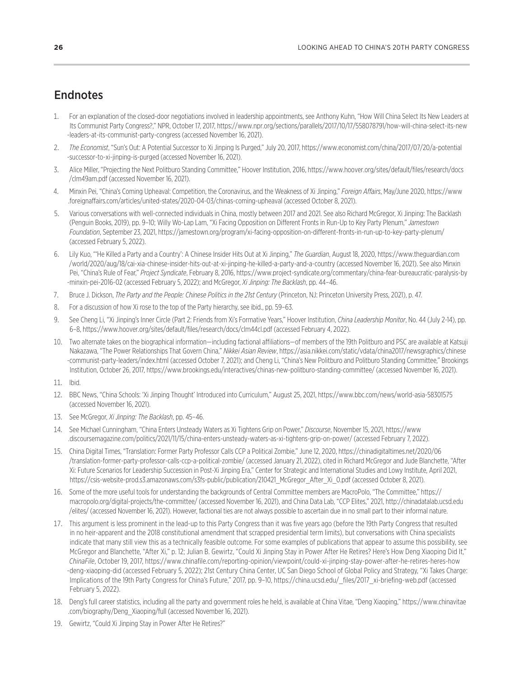### <span id="page-28-0"></span>**Endnotes**

- [1.](#page-4-0) For an explanation of the closed-door negotiations involved in leadership appointments, see Anthony Kuhn, "How Will China Select Its New Leaders at Its Communist Party Congress?," NPR, October 17, 2017, [https://www.npr.org/sections/parallels/2017/10/17/558078791/how-will-china-select-its-new](https://www.npr.org/sections/parallels/2017/10/17/558078791/how-will-china-select-its-new-leaders-at-its-communist-party-congress) [-leaders-at-its-communist-party-congress](https://www.npr.org/sections/parallels/2017/10/17/558078791/how-will-china-select-its-new-leaders-at-its-communist-party-congress) (accessed November 16, 2021).
- [2](#page-4-0). *The Economist*, "Sun's Out: A Potential Successor to Xi Jinping Is Purged," July 20, 2017, [https://www.economist.com/china/2017/07/20/a-potential](https://www.economist.com/china/2017/07/20/a-potential-successor-to-xi-jinping-is-purged) [-successor-to-xi-jinping-is-purged](https://www.economist.com/china/2017/07/20/a-potential-successor-to-xi-jinping-is-purged) (accessed November 16, 2021).
- [3.](#page-4-0) Alice Miller, "Projecting the Next Politburo Standing Committee," Hoover Institution, 2016, [https://www.hoover.org/sites/default/files/research/docs](https://www.hoover.org/sites/default/files/research/docs/clm49am.pdf) [/clm49am.pdf](https://www.hoover.org/sites/default/files/research/docs/clm49am.pdf) (accessed November 16, 2021).
- [4.](#page-5-0) Minxin Pei, "China's Coming Upheaval: Competition, the Coronavirus, and the Weakness of Xi Jinping," *Foreign Affairs*, May/June 2020, [https://www](https://www.foreignaffairs.com/articles/united-states/2020-04-03/chinas-coming-upheaval) [.foreignaffairs.com/articles/united-states/2020-04-03/chinas-coming-upheaval](https://www.foreignaffairs.com/articles/united-states/2020-04-03/chinas-coming-upheaval) (accessed October 8, 2021).
- [5](#page-5-0). Various conversations with well-connected individuals in China, mostly between 2017 and 2021. See also Richard McGregor, Xi Jinping: The Backlash (Penguin Books, 2019), pp. 9–10; Willy Wo-Lap Lam, "Xi Facing Opposition on Different Fronts in Run-Up to Key Party Plenum," *Jamestown Foundation*, September 23, 2021, <https://jamestown.org/program/xi-facing-opposition-on-different-fronts-in-run-up-to-key-party-plenum/> (accessed February 5, 2022).
- [6](#page-5-0). Lily Kuo, "'He Killed a Party and a Country': A Chinese Insider Hits Out at Xi Jinping," *The Guardian*, August 18, 2020, [https://www.theguardian.com](https://www.theguardian.com/world/2020/aug/18/cai-xia-chinese-insider-hits-out-at-xi-jinping-he-killed-a-party-and-a-country) [/world/2020/aug/18/cai-xia-chinese-insider-hits-out-at-xi-jinping-he-killed-a-party-and-a-country](https://www.theguardian.com/world/2020/aug/18/cai-xia-chinese-insider-hits-out-at-xi-jinping-he-killed-a-party-and-a-country) (accessed November 16, 2021). See also Minxin Pei, "China's Rule of Fear," *Project Syndicate*, February 8, 2016, [https://www.project-syndicate.org/commentary/china-fear-bureaucratic-paralysis-by](https://www.project-syndicate.org/commentary/china-fear-bureaucratic-paralysis-by-minxin-pei-2016-02) [-minxin-pei-2016-02](https://www.project-syndicate.org/commentary/china-fear-bureaucratic-paralysis-by-minxin-pei-2016-02) (accessed February 5, 2022); and McGregor, *Xi Jinping: The Backlash*, pp. 44–46.
- [7.](#page-6-0) Bruce J. Dickson, *The Party and the People: Chinese Politics in the 21st Century* (Princeton, NJ: Princeton University Press, 2021), p. 47.
- [8](#page-6-0). For a discussion of how Xi rose to the top of the Party hierarchy, see ibid., pp. 59–63.
- [9](#page-6-0). See Cheng Li, "Xi Jinping's Inner Circle (Part 2: Friends from Xi's Formative Years," Hoover Institution, *China Leadership Monitor*, No. 44 (July 2-14), pp. 6–8, <https://www.hoover.org/sites/default/files/research/docs/clm44cl.pdf> (accessed February 4, 2022).
- [10.](#page-6-0) Two alternate takes on the biographical information—including factional affiliations—of members of the 19th Politburo and PSC are available at Katsuji Nakazawa, "The Power Relationships That Govern China," *Nikkei Asian Review*, [https://asia.nikkei.com/static/vdata/china2017/newsgraphics/chinese](https://asia.nikkei.com/static/vdata/china2017/newsgraphics/chinese-communist-party-leaders/index.html) [-communist-party-leaders/index.html](https://asia.nikkei.com/static/vdata/china2017/newsgraphics/chinese-communist-party-leaders/index.html) (accessed October 7, 2021); and Cheng Li, "China's New Politburo and Politburo Standing Committee," Brookings Institution, October 26, 2017,<https://www.brookings.edu/interactives/chinas-new-politburo-standing-committee/>(accessed November 16, 2021).
- [11.](#page-6-0) Ibid.
- [12.](#page-8-0) BBC News, "China Schools: 'Xi Jinping Thought' Introduced into Curriculum," August 25, 2021, <https://www.bbc.com/news/world-asia-58301575> (accessed November 16, 2021).
- [13.](#page-8-0) See McGregor, *Xi Jinping: The Backlash*, pp. 45–46.
- [14.](#page-8-0) See Michael Cunningham, "China Enters Unsteady Waters as Xi Tightens Grip on Power," *Discourse*, November 15, 2021, [https://www](https://www.discoursemagazine.com/politics/2021/11/15/china-enters-unsteady-waters-as-xi-tightens-grip-on-power/) [.discoursemagazine.com/politics/2021/11/15/china-enters-unsteady-waters-as-xi-tightens-grip-on-power/](https://www.discoursemagazine.com/politics/2021/11/15/china-enters-unsteady-waters-as-xi-tightens-grip-on-power/) (accessed February 7, 2022).
- [15.](#page-9-0) China Digital Times, "Translation: Former Party Professor Calls CCP a Political Zombie," June 12, 2020, [https://chinadigitaltimes.net/2020/06](https://chinadigitaltimes.net/2020/06/translation-former-party-professor-calls-ccp-a-political-zombie/) [/translation-former-party-professor-calls-ccp-a-political-zombie/](https://chinadigitaltimes.net/2020/06/translation-former-party-professor-calls-ccp-a-political-zombie/) (accessed January 21, 2022), cited in Richard McGregor and Jude Blanchette, "After Xi: Future Scenarios for Leadership Succession in Post-Xi Jinping Era," Center for Strategic and International Studies and Lowy Institute, April 2021, [https://csis-website-prod.s3.amazonaws.com/s3fs-public/publication/210421\\_McGregor\\_After\\_Xi\\_0.pdf](https://csis-website-prod.s3.amazonaws.com/s3fs-public/publication/210421_McGregor_After_Xi_0.pdf) (accessed October 8, 2021).
- [16.](#page-9-0) Some of the more useful tools for understanding the backgrounds of Central Committee members are MacroPolo, "The Committee," [https://](https://macropolo.org/digital-projects/the-committee/) [macropolo.org/digital-projects/the-committee/](https://macropolo.org/digital-projects/the-committee/) (accessed November 16, 2021), and China Data Lab, "CCP Elites," 2021, [http://chinadatalab.ucsd.edu](http://chinadatalab.ucsd.edu/elites/) [/elites/](http://chinadatalab.ucsd.edu/elites/) (accessed November 16, 2021). However, factional ties are not always possible to ascertain due in no small part to their informal nature.
- [17](#page-10-0). This argument is less prominent in the lead-up to this Party Congress than it was five years ago (before the 19th Party Congress that resulted in no heir-apparent and the 2018 constitutional amendment that scrapped presidential term limits), but conversations with China specialists indicate that many still view this as a technically feasible outcome. For some examples of publications that appear to assume this possibility, see McGregor and Blanchette, "After Xi," p. 12; Julian B. Gewirtz, "Could Xi Jinping Stay in Power After He Retires? Here's How Deng Xiaoping Did It," *ChinaFile*, October 19, 2017, [https://www.chinafile.com/reporting-opinion/viewpoint/could-xi-jinping-stay-power-after-he-retires-heres-how](https://www.chinafile.com/reporting-opinion/viewpoint/could-xi-jinping-stay-power-after-he-retires-heres-how-deng-xiaoping-did) [-deng-xiaoping-did](https://www.chinafile.com/reporting-opinion/viewpoint/could-xi-jinping-stay-power-after-he-retires-heres-how-deng-xiaoping-did) (accessed February 5, 2022); 21st Century China Center, UC San Diego School of Global Policy and Strategy, "Xi Takes Charge: Implications of the 19th Party Congress for China's Future," 2017, pp. 9–10, [https://china.ucsd.edu/\\_files/2017\\_xi-briefing-web.pdf](https://china.ucsd.edu/_files/2017_xi-briefing-web.pdf) (accessed February 5, 2022).
- [18.](#page-10-0) Deng's full career statistics, including all the party and government roles he held, is available at China Vitae, "Deng Xiaoping," [https://www.chinavitae](https://www.chinavitae.com/biography/Deng_Xiaoping/full) [.com/biography/Deng\\_Xiaoping/full](https://www.chinavitae.com/biography/Deng_Xiaoping/full) (accessed November 16, 2021).
- [19.](#page-10-0) Gewirtz, "Could Xi Jinping Stay in Power After He Retires?"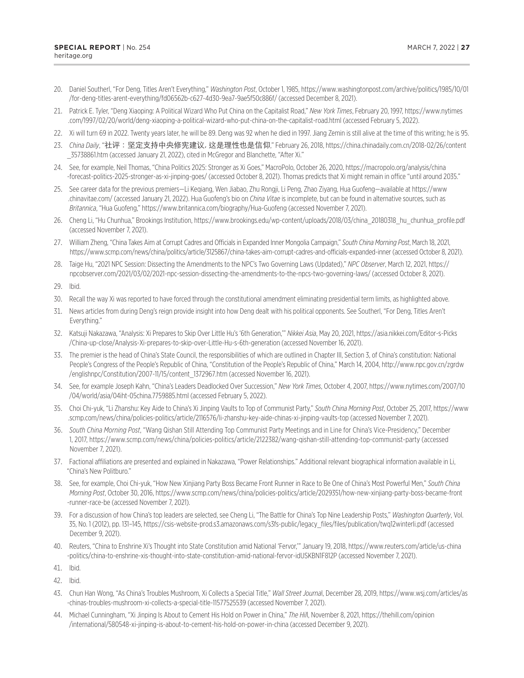- <span id="page-29-0"></span>[20](#page-10-0). Daniel Southerl, "For Deng, Titles Aren't Everything," *Washington Post*, October 1, 1985, [https://www.washingtonpost.com/archive/politics/1985/10/01](https://www.washingtonpost.com/archive/politics/1985/10/01/for-deng-titles-arent-everything/fd06562b-c627-4d30-9ea7-9ae5f50c886f/) [/for-deng-titles-arent-everything/fd06562b-c627-4d30-9ea7-9ae5f50c886f/](https://www.washingtonpost.com/archive/politics/1985/10/01/for-deng-titles-arent-everything/fd06562b-c627-4d30-9ea7-9ae5f50c886f/) (accessed December 8, 2021).
- [21](#page-10-0). Patrick E. Tyler, "Deng Xiaoping: A Political Wizard Who Put China on the Capitalist Road," *New York Times*, February 20, 1997, [https://www.nytimes](https://www.nytimes.com/1997/02/20/world/deng-xiaoping-a-political-wizard-who-put-china-on-the-capitalist-road.html) [.com/1997/02/20/world/deng-xiaoping-a-political-wizard-who-put-china-on-the-capitalist-road.html](https://www.nytimes.com/1997/02/20/world/deng-xiaoping-a-political-wizard-who-put-china-on-the-capitalist-road.html) (accessed February 5, 2022).
- [22](#page-11-0). Xi will turn 69 in 2022. Twenty years later, he will be 89. Deng was 92 when he died in 1997. Jiang Zemin is still alive at the time of this writing; he is 95.
- [23](#page-11-0). *China Daily*, "社评:坚定支持中央修宪建议, 这是理性也是信仰," February 26, 2018, [https://china.chinadaily.com.cn/2018-02/26/content](https://china.chinadaily.com.cn/2018-02/26/content_35738861.htm) [\\_35738861.htm](https://china.chinadaily.com.cn/2018-02/26/content_35738861.htm) (accessed January 21, 2022), cited in McGregor and Blanchette, "After Xi."
- [24](#page-12-0). See, for example, Neil Thomas, "China Politics 2025: Stronger as Xi Goes," MacroPolo, October 26, 2020, [https://macropolo.org/analysis/china](https://macropolo.org/analysis/china-forecast-politics-2025-stronger-as-xi-jinping-goes/) [-forecast-politics-2025-stronger-as-xi-jinping-goes/](https://macropolo.org/analysis/china-forecast-politics-2025-stronger-as-xi-jinping-goes/) (accessed October 8, 2021). Thomas predicts that Xi might remain in office "until around 2035."
- [25](#page-13-0). See career data for the previous premiers—Li Keqiang, Wen Jiabao, Zhu Rongji, Li Peng, Zhao Ziyang, Hua Guofeng—available at [https://www](https://www.chinavitae.com/) [.chinavitae.com/](https://www.chinavitae.com/) (accessed January 21, 2022). Hua Guofeng's bio on *China Vitae* is incomplete, but can be found in alternative sources, such as *Britannica*, "Hua Guofeng," <https://www.britannica.com/biography/Hua-Guofeng> (accessed November 7, 2021).
- [26](#page-13-0). Cheng Li, "Hu Chunhua," Brookings Institution, [https://www.brookings.edu/wp-content/uploads/2018/03/china\\_20180318\\_hu\\_chunhua\\_profile.pdf](https://www.brookings.edu/wp-content/uploads/2018/03/china_20180318_hu_chunhua_profile.pdf) (accessed November 7, 2021).
- [27.](#page-13-0) William Zheng, "China Takes Aim at Corrupt Cadres and Officials in Expanded Inner Mongolia Campaign," *South China Morning Post*, March 18, 2021, <https://www.scmp.com/news/china/politics/article/3125867/china-takes-aim-corrupt-cadres-and-officials-expanded-inner> (accessed October 8, 2021).
- [28](#page-14-0). Taige Hu, "2021 NPC Session: Dissecting the Amendments to the NPC's Two Governing Laws (Updated)," *NPC Observer*, March 12, 2021, [https://](https://npcobserver.com/2021/03/02/2021-npc-session-dissecting-the-amendments-to-the-npcs-two-governing-laws/) [npcobserver.com/2021/03/02/2021-npc-session-dissecting-the-amendments-to-the-npcs-two-governing-laws/](https://npcobserver.com/2021/03/02/2021-npc-session-dissecting-the-amendments-to-the-npcs-two-governing-laws/) (accessed October 8, 2021).
- [29](#page-14-0). Ibid.
- [30.](#page-14-0) Recall the way Xi was reported to have forced through the constitutional amendment eliminating presidential term limits, as highlighted above.
- [31.](#page-15-0) News articles from during Deng's reign provide insight into how Deng dealt with his political opponents. See Southerl, "For Deng, Titles Aren't Everything."
- [32.](#page-15-0) Katsuji Nakazawa, "Analysis: Xi Prepares to Skip Over Little Hu's '6th Generation,'" *Nikkei Asia*, May 20, 2021, [https://asia.nikkei.com/Editor-s-Picks](https://asia.nikkei.com/Editor-s-Picks/China-up-close/Analysis-Xi-prepares-to-skip-over-Little-Hu-s-6th-generation) [/China-up-close/Analysis-Xi-prepares-to-skip-over-Little-Hu-s-6th-generation](https://asia.nikkei.com/Editor-s-Picks/China-up-close/Analysis-Xi-prepares-to-skip-over-Little-Hu-s-6th-generation) (accessed November 16, 2021).
- [33.](#page-15-0) The premier is the head of China's State Council, the responsibilities of which are outlined in Chapter III, Section 3, of China's constitution: National People's Congress of the People's Republic of China, "Constitution of the People's Republic of China," March 14, 2004, [http://www.npc.gov.cn/zgrdw](http://www.npc.gov.cn/zgrdw/englishnpc/Constitution/2007-11/15/content_1372967.htm) [/englishnpc/Constitution/2007-11/15/content\\_1372967.htm](http://www.npc.gov.cn/zgrdw/englishnpc/Constitution/2007-11/15/content_1372967.htm) (accessed November 16, 2021).
- [34.](#page-15-0) See, for example Joseph Kahn, "China's Leaders Deadlocked Over Succession," *New York Times*, October 4, 2007, [https://www.nytimes.com/2007/10](https://www.nytimes.com/2007/10/04/world/asia/04iht-05china.7759885.html) [/04/world/asia/04iht-05china.7759885.html](https://www.nytimes.com/2007/10/04/world/asia/04iht-05china.7759885.html) (accessed February 5, 2022).
- [35.](#page-16-0) Choi Chi-yuk, "Li Zhanshu: Key Aide to China's Xi Jinping Vaults to Top of Communist Party," *South China Morning Post*, October 25, 2017, [https://www](https://www.scmp.com/news/china/policies-politics/article/2116576/li-zhanshu-key-aide-chinas-xi-jinping-vaults-top) [.scmp.com/news/china/policies-politics/article/2116576/li-zhanshu-key-aide-chinas-xi-jinping-vaults-top](https://www.scmp.com/news/china/policies-politics/article/2116576/li-zhanshu-key-aide-chinas-xi-jinping-vaults-top) (accessed November 7, 2021).
- [36](#page-16-0). *South China Morning Post*, "Wang Qishan Still Attending Top Communist Party Meetings and in Line for China's Vice-Presidency," December 1, 2017, <https://www.scmp.com/news/china/policies-politics/article/2122382/wang-qishan-still-attending-top-communist-party>(accessed November 7, 2021).
- [37.](#page-17-0) Factional affiliations are presented and explained in Nakazawa, "Power Relationships." Additional relevant biographical information available in Li, "China's New Politburo."
- [38.](#page-17-0) See, for example, Choi Chi-yuk, "How New Xinjiang Party Boss Became Front Runner in Race to Be One of China's Most Powerful Men," *South China Morning Post*, October 30, 2016, [https://www.scmp.com/news/china/policies-politics/article/2029351/how-new-xinjiang-party-boss-became-front](https://www.scmp.com/news/china/policies-politics/article/2029351/how-new-xinjiang-party-boss-became-front-runner-race-be) [-runner-race-be](https://www.scmp.com/news/china/policies-politics/article/2029351/how-new-xinjiang-party-boss-became-front-runner-race-be) (accessed November 7, 2021).
- [39.](#page-17-0) For a discussion of how China's top leaders are selected, see Cheng Li, "The Battle for China's Top Nine Leadership Posts," *Washington Quarterly*, Vol. 35, No. 1 (2012), pp. 131–145, [https://csis-website-prod.s3.amazonaws.com/s3fs-public/legacy\\_files/files/publication/twq12winterli.pdf](https://csis-website-prod.s3.amazonaws.com/s3fs-public/legacy_files/files/publication/twq12winterli.pdf) (accessed December 9, 2021).
- [40.](#page-18-0) Reuters, "China to Enshrine Xi's Thought into State Constitution amid National 'Fervor,'" January 19, 2018, [https://www.reuters.com/article/us-china](https://www.reuters.com/article/us-china-politics/china-to-enshrine-xis-thought-into-state-constitution-amid-national-fervor-idUSKBN1F812P) [-politics/china-to-enshrine-xis-thought-into-state-constitution-amid-national-fervor-idUSKBN1F812P](https://www.reuters.com/article/us-china-politics/china-to-enshrine-xis-thought-into-state-constitution-amid-national-fervor-idUSKBN1F812P) (accessed November 7, 2021).
- [41.](#page-18-0) Ibid.
- [42.](#page-18-0) Ibid.
- [43.](#page-18-0) Chun Han Wong, "As China's Troubles Mushroom, Xi Collects a Special Title," *Wall Street Journa*l, December 28, 2019, [https://www.wsj.com/articles/as](https://www.wsj.com/articles/as-chinas-troubles-mushroom-xi-collects-a-special-title-11577525539) [-chinas-troubles-mushroom-xi-collects-a-special-title-11577525539](https://www.wsj.com/articles/as-chinas-troubles-mushroom-xi-collects-a-special-title-11577525539) (accessed November 7, 2021).
- [44.](#page-18-0) Michael Cunningham, "Xi Jinping Is About to Cement His Hold on Power in China," *The Hil*l, November 8, 2021, [https://thehill.com/opinion](https://thehill.com/opinion/international/580548-xi-jinping-is-about-to-cement-his-hold-on-power-in-china) [/international/580548-xi-jinping-is-about-to-cement-his-hold-on-power-in-china](https://thehill.com/opinion/international/580548-xi-jinping-is-about-to-cement-his-hold-on-power-in-china) (accessed December 9, 2021).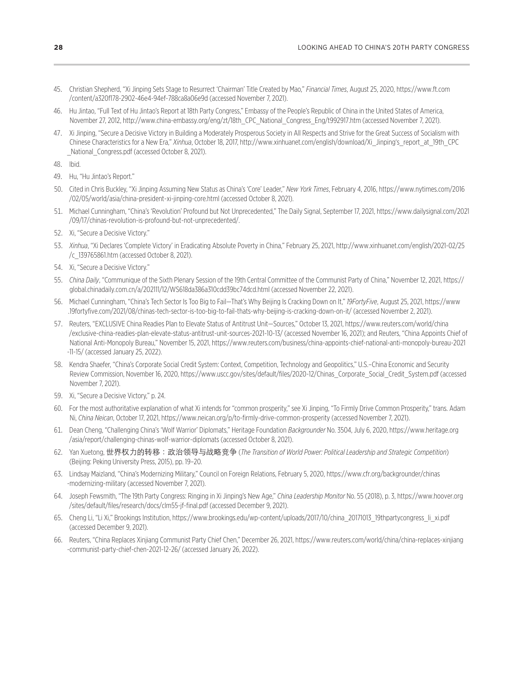- <span id="page-30-0"></span>[45.](#page-18-0) Christian Shepherd, "Xi Jinping Sets Stage to Resurrect 'Chairman' Title Created by Mao," *Financial Times*, August 25, 2020, [https://www.ft.com](https://www.ft.com/content/a320f178-2902-46e4-94ef-788ca8a06e9d) [/content/a320f178-2902-46e4-94ef-788ca8a06e9d](https://www.ft.com/content/a320f178-2902-46e4-94ef-788ca8a06e9d) (accessed November 7, 2021).
- [46.](#page-19-0) Hu Jintao, "Full Text of Hu Jintao's Report at 18th Party Congress," Embassy of the People's Republic of China in the United States of America, November 27, 2012, [http://www.china-embassy.org/eng/zt/18th\\_CPC\\_National\\_Congress\\_Eng/t992917.htm](http://www.china-embassy.org/eng/zt/18th_CPC_National_Congress_Eng/t992917.htm) (accessed November 7, 2021).
- [47.](#page-19-0) Xi Jinping, "Secure a Decisive Victory in Building a Moderately Prosperous Society in All Respects and Strive for the Great Success of Socialism with Chinese Characteristics for a New Era," Xinhua, October 18, 2017, [http://www.xinhuanet.com/english/download/Xi\\_Jinping's\\_report\\_at\\_19th\\_CPC](http://www.xinhuanet.com/english/download/Xi_Jinping) [\\_National\\_Congress.pdf](http://www.xinhuanet.com/english/download/Xi_Jinping) (accessed October 8, 2021).

[48.](#page-19-0) Ibid.

- [49.](#page-20-0) Hu, "Hu Jintao's Report."
- [50](#page-20-0). Cited in Chris Buckley, "Xi Jinping Assuming New Status as China's 'Core' Leader," *New York Times*, February 4, 2016, [https://www.nytimes.com/2016](https://www.nytimes.com/2016/02/05/world/asia/china-president-xi-jinping-core.html) [/02/05/world/asia/china-president-xi-jinping-core.html](https://www.nytimes.com/2016/02/05/world/asia/china-president-xi-jinping-core.html) (accessed October 8, 2021).
- [51](#page-20-0). Michael Cunningham, "China's 'Revolution' Profound but Not Unprecedented," The Daily Signal, September 17, 2021, [https://www.dailysignal.com/2021](https://www.dailysignal.com/2021/09/17/chinas-revolution-is-profound-but-not-unprecedented/) [/09/17/chinas-revolution-is-profound-but-not-unprecedented/.](https://www.dailysignal.com/2021/09/17/chinas-revolution-is-profound-but-not-unprecedented/)
- [52](#page-21-0). Xi, "Secure a Decisive Victory."
- [53](#page-21-0). *Xinhua*, "Xi Declares 'Complete Victory' in Eradicating Absolute Poverty in China," February 25, 2021, [http://www.xinhuanet.com/english/2021-02/25](http://www.xinhuanet.com/english/2021-02/25/c_139765861.htm) [/c\\_139765861.htm](http://www.xinhuanet.com/english/2021-02/25/c_139765861.htm) (accessed October 8, 2021).
- [54](#page-21-0). Xi, "Secure a Decisive Victory."
- [55](#page-21-0). *China Daily*, "Communique of the Sixth Plenary Session of the 19th Central Committee of the Communist Party of China," November 12, 2021, [https://](https://global.chinadaily.com.cn/a/202111/12/WS618da386a310cdd39bc74dcd.html) [global.chinadaily.com.cn/a/202111/12/WS618da386a310cdd39bc74dcd.html](https://global.chinadaily.com.cn/a/202111/12/WS618da386a310cdd39bc74dcd.html) (accessed November 22, 2021).
- [56](#page-21-0). Michael Cunningham, "China's Tech Sector Is Too Big to Fail—That's Why Beijing Is Cracking Down on It," *19FortyFive*, August 25, 2021, [https://www](https://www.19fortyfive.com/2021/08/chinas-tech-sector-is-too-big-to-fail-thats-why-beijing-is-cracking-down-on-it/) [.19fortyfive.com/2021/08/chinas-tech-sector-is-too-big-to-fail-thats-why-beijing-is-cracking-down-on-it/](https://www.19fortyfive.com/2021/08/chinas-tech-sector-is-too-big-to-fail-thats-why-beijing-is-cracking-down-on-it/) (accessed November 2, 2021).
- [57](#page-22-0). Reuters, "EXCLUSIVE China Readies Plan to Elevate Status of Antitrust Unit—Sources," October 13, 2021, [https://www.reuters.com/world/china](https://www.reuters.com/world/china/exclusive-china-readies-plan-elevate-status-antitrust-unit-sources-2021-10-13/) [/exclusive-china-readies-plan-elevate-status-antitrust-unit-sources-2021-10-13/](https://www.reuters.com/world/china/exclusive-china-readies-plan-elevate-status-antitrust-unit-sources-2021-10-13/) (accessed November 16, 2021); and Reuters, "China Appoints Chief of National Anti-Monopoly Bureau," November 15, 2021, [https://www.reuters.com/business/china-appoints-chief-national-anti-monopoly-bureau-2021](https://www.reuters.com/business/china-appoints-chief-national-anti-monopoly-bureau-2021-11-15/) [-11-15/](https://www.reuters.com/business/china-appoints-chief-national-anti-monopoly-bureau-2021-11-15/) (accessed January 25, 2022).
- [58](#page-22-0). Kendra Shaefer, "China's Corporate Social Credit System: Context, Competition, Technology and Geopolitics," U.S.–China Economic and Security Review Commission, November 16, 2020, [https://www.uscc.gov/sites/default/files/2020-12/Chinas\\_Corporate\\_Social\\_Credit\\_System.pdf](https://www.uscc.gov/sites/default/files/2020-12/Chinas_Corporate_Social_Credit_System.pdf) (accessed November 7, 2021).
- [59](#page-22-0). Xi, "Secure a Decisive Victory," p. 24.
- [60](#page-22-0). For the most authoritative explanation of what Xi intends for "common prosperity," see Xi Jinping, "To Firmly Drive Common Prosperity," trans. Adam Ni, *China Neican*, October 17, 2021, <https://www.neican.org/p/to-firmly-drive-common-prosperity>(accessed November 7, 2021).
- [61](#page-23-0). Dean Cheng, "Challenging China's 'Wolf Warrior' Diplomats," Heritage Foundation *Backgrounder* No. 3504, July 6, 2020, [https://www.heritage.org](https://www.heritage.org/asia/report/challenging-chinas-wolf-warrior-diplomats) [/asia/report/challenging-chinas-wolf-warrior-diplomats](https://www.heritage.org/asia/report/challenging-chinas-wolf-warrior-diplomats) (accessed October 8, 2021).
- [62](#page-23-0). Yan Xuetong, 世界权力的转移:政治领导与战略竞争 (*The Transition of World Power: Political Leadership and Strategic Competition*) (Beijing: Peking University Press, 2015), pp. 19–20.
- [63](#page-24-0). Lindsay Maizland, "China's Modernizing Military," Council on Foreign Relations, February 5, 2020, [https://www.cfr.org/backgrounder/chinas](https://www.cfr.org/backgrounder/chinas-modernizing-military) [-modernizing-military](https://www.cfr.org/backgrounder/chinas-modernizing-military) (accessed November 7, 2021).
- [64](#page-26-0). Joseph Fewsmith, "The 19th Party Congress: Ringing in Xi Jinping's New Age," *China Leadership Monitor* No. 55 (2018), p. 3, [https://www.hoover.org](https://www.hoover.org/sites/default/files/research/docs/clm55-jf-final.pdf) [/sites/default/files/research/docs/clm55-jf-final.pdf](https://www.hoover.org/sites/default/files/research/docs/clm55-jf-final.pdf) (accessed December 9, 2021).
- [65](#page-26-0). Cheng Li, "Li Xi," Brookings Institution, [https://www.brookings.edu/wp-content/uploads/2017/10/china\\_20171013\\_19thpartycongress\\_li\\_xi.pdf](https://www.brookings.edu/wp-content/uploads/2017/10/china_20171013_19thpartycongress_li_xi.pdf) (accessed December 9, 2021).
- [66](#page-27-0). Reuters, "China Replaces Xinjiang Communist Party Chief Chen," December 26, 2021, [https://www.reuters.com/world/china/china-replaces-xinjiang](https://www.reuters.com/world/china/china-replaces-xinjiang-communist-party-chief-chen-2021-12-26/) [-communist-party-chief-chen-2021-12-26/](https://www.reuters.com/world/china/china-replaces-xinjiang-communist-party-chief-chen-2021-12-26/) (accessed January 26, 2022).